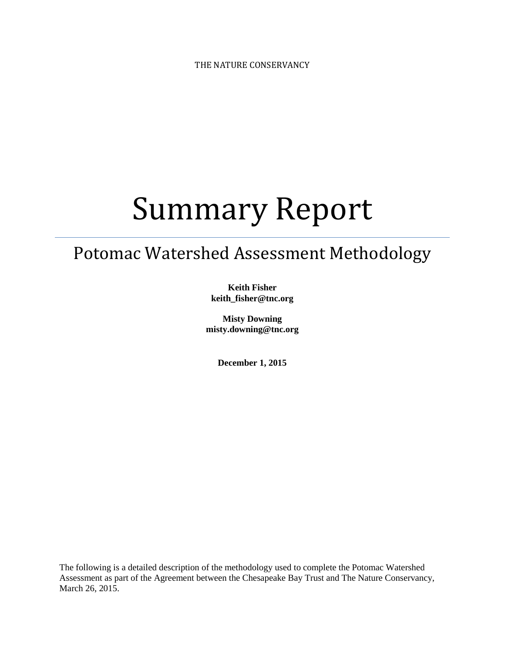THE NATURE CONSERVANCY

# Summary Report

## Potomac Watershed Assessment Methodology

**Keith Fisher keith\_fisher@tnc.org**

**Misty Downing misty.downing@tnc.org**

**December 1, 2015**

The following is a detailed description of the methodology used to complete the Potomac Watershed Assessment as part of the Agreement between the Chesapeake Bay Trust and The Nature Conservancy, March 26, 2015.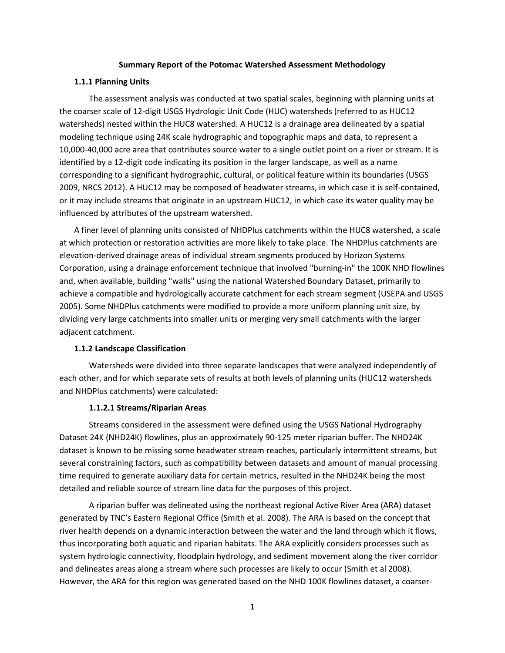#### **Summary Report of the Potomac Watershed Assessment Methodology**

#### **1.1.1 Planning Units**

The assessment analysis was conducted at two spatial scales, beginning with planning units at the coarser scale of 12-digit USGS Hydrologic Unit Code (HUC) watersheds (referred to as HUC12 watersheds) nested within the HUC8 watershed. A HUC12 is a drainage area delineated by a spatial modeling technique using 24K scale hydrographic and topographic maps and data, to represent a 10,000-40,000 acre area that contributes source water to a single outlet point on a river or stream. It is identified by a 12-digit code indicating its position in the larger landscape, as well as a name corresponding to a significant hydrographic, cultural, or political feature within its boundaries (USGS 2009, NRCS 2012). A HUC12 may be composed of headwater streams, in which case it is self-contained, or it may include streams that originate in an upstream HUC12, in which case its water quality may be influenced by attributes of the upstream watershed.

A finer level of planning units consisted of NHDPlus catchments within the HUC8 watershed, a scale at which protection or restoration activities are more likely to take place. The NHDPlus catchments are elevation-derived drainage areas of individual stream segments produced by Horizon Systems Corporation, using a drainage enforcement technique that involved "burning-in" the 100K NHD flowlines and, when available, building "walls" using the national Watershed Boundary Dataset, primarily to achieve a compatible and hydrologically accurate catchment for each stream segment (USEPA and USGS 2005). Some NHDPlus catchments were modified to provide a more uniform planning unit size, by dividing very large catchments into smaller units or merging very small catchments with the larger adjacent catchment.

## **1.1.2 Landscape Classification**

Watersheds were divided into three separate landscapes that were analyzed independently of each other, and for which separate sets of results at both levels of planning units (HUC12 watersheds and NHDPlus catchments) were calculated:

## **1.1.2.1 Streams/Riparian Areas**

Streams considered in the assessment were defined using the USGS National Hydrography Dataset 24K (NHD24K) flowlines, plus an approximately 90-125 meter riparian buffer. The NHD24K dataset is known to be missing some headwater stream reaches, particularly intermittent streams, but several constraining factors, such as compatibility between datasets and amount of manual processing time required to generate auxiliary data for certain metrics, resulted in the NHD24K being the most detailed and reliable source of stream line data for the purposes of this project.

A riparian buffer was delineated using the northeast regional Active River Area (ARA) dataset generated by TNC's Eastern Regional Office (Smith et al. 2008). The ARA is based on the concept that river health depends on a dynamic interaction between the water and the land through which it flows, thus incorporating both aquatic and riparian habitats. The ARA explicitly considers processes such as system hydrologic connectivity, floodplain hydrology, and sediment movement along the river corridor and delineates areas along a stream where such processes are likely to occur (Smith et al 2008). However, the ARA for this region was generated based on the NHD 100K flowlines dataset, a coarser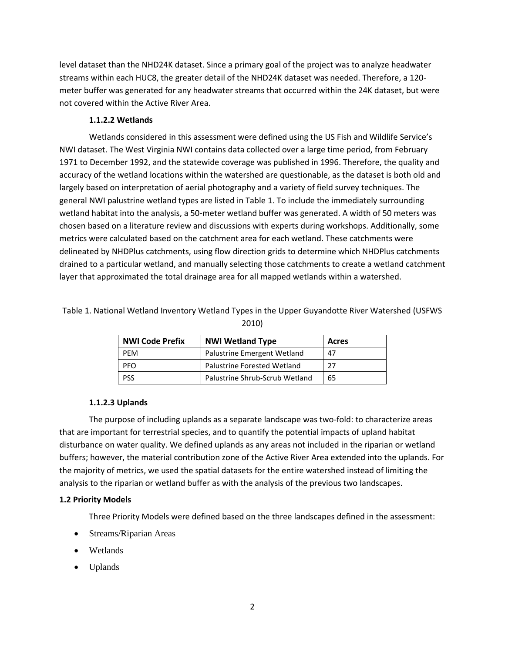level dataset than the NHD24K dataset. Since a primary goal of the project was to analyze headwater streams within each HUC8, the greater detail of the NHD24K dataset was needed. Therefore, a 120 meter buffer was generated for any headwater streams that occurred within the 24K dataset, but were not covered within the Active River Area.

## **1.1.2.2 Wetlands**

Wetlands considered in this assessment were defined using the US Fish and Wildlife Service's NWI dataset. The West Virginia NWI contains data collected over a large time period, from February 1971 to December 1992, and the statewide coverage was published in 1996. Therefore, the quality and accuracy of the wetland locations within the watershed are questionable, as the dataset is both old and largely based on interpretation of aerial photography and a variety of field survey techniques. The general NWI palustrine wetland types are listed in Table 1. To include the immediately surrounding wetland habitat into the analysis, a 50-meter wetland buffer was generated. A width of 50 meters was chosen based on a literature review and discussions with experts during workshops. Additionally, some metrics were calculated based on the catchment area for each wetland. These catchments were delineated by NHDPlus catchments, using flow direction grids to determine which NHDPlus catchments drained to a particular wetland, and manually selecting those catchments to create a wetland catchment layer that approximated the total drainage area for all mapped wetlands within a watershed.

Table 1. National Wetland Inventory Wetland Types in the Upper Guyandotte River Watershed (USFWS

| <b>NWI Code Prefix</b> | <b>NWI Wetland Type</b>        | Acres |
|------------------------|--------------------------------|-------|
| <b>PFM</b>             | Palustrine Emergent Wetland    | 47    |
| <b>PFO</b>             | Palustrine Forested Wetland    | 27    |
| <b>PSS</b>             | Palustrine Shrub-Scrub Wetland | 65    |

## **1.1.2.3 Uplands**

The purpose of including uplands as a separate landscape was two-fold: to characterize areas that are important for terrestrial species, and to quantify the potential impacts of upland habitat disturbance on water quality. We defined uplands as any areas not included in the riparian or wetland buffers; however, the material contribution zone of the Active River Area extended into the uplands. For the majority of metrics, we used the spatial datasets for the entire watershed instead of limiting the analysis to the riparian or wetland buffer as with the analysis of the previous two landscapes.

## **1.2 Priority Models**

Three Priority Models were defined based on the three landscapes defined in the assessment:

- Streams/Riparian Areas
- Wetlands
- Uplands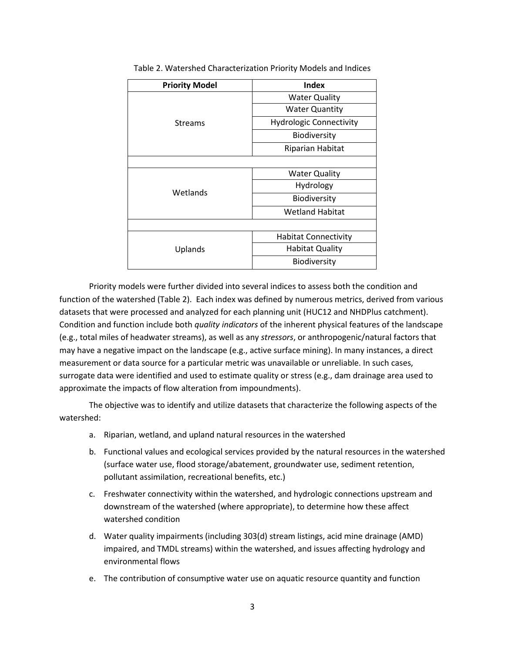| <b>Priority Model</b> | <b>Index</b>                   |  |  |
|-----------------------|--------------------------------|--|--|
|                       | <b>Water Quality</b>           |  |  |
|                       | <b>Water Quantity</b>          |  |  |
| <b>Streams</b>        | <b>Hydrologic Connectivity</b> |  |  |
|                       | Biodiversity                   |  |  |
|                       | Riparian Habitat               |  |  |
|                       |                                |  |  |
|                       | <b>Water Quality</b>           |  |  |
| Wetlands              | Hydrology                      |  |  |
|                       | Biodiversity                   |  |  |
|                       | <b>Wetland Habitat</b>         |  |  |
|                       |                                |  |  |
|                       | <b>Habitat Connectivity</b>    |  |  |
| Uplands               | <b>Habitat Quality</b>         |  |  |
|                       | Biodiversity                   |  |  |

Table 2. Watershed Characterization Priority Models and Indices

Priority models were further divided into several indices to assess both the condition and function of the watershed (Table 2). Each index was defined by numerous metrics, derived from various datasets that were processed and analyzed for each planning unit (HUC12 and NHDPlus catchment). Condition and function include both *quality indicators* of the inherent physical features of the landscape (e.g., total miles of headwater streams), as well as any *stressors*, or anthropogenic/natural factors that may have a negative impact on the landscape (e.g., active surface mining). In many instances, a direct measurement or data source for a particular metric was unavailable or unreliable. In such cases, surrogate data were identified and used to estimate quality or stress (e.g., dam drainage area used to approximate the impacts of flow alteration from impoundments).

The objective was to identify and utilize datasets that characterize the following aspects of the watershed:

- a. Riparian, wetland, and upland natural resources in the watershed
- b. Functional values and ecological services provided by the natural resources in the watershed (surface water use, flood storage/abatement, groundwater use, sediment retention, pollutant assimilation, recreational benefits, etc.)
- c. Freshwater connectivity within the watershed, and hydrologic connections upstream and downstream of the watershed (where appropriate), to determine how these affect watershed condition
- d. Water quality impairments (including 303(d) stream listings, acid mine drainage (AMD) impaired, and TMDL streams) within the watershed, and issues affecting hydrology and environmental flows
- e. The contribution of consumptive water use on aquatic resource quantity and function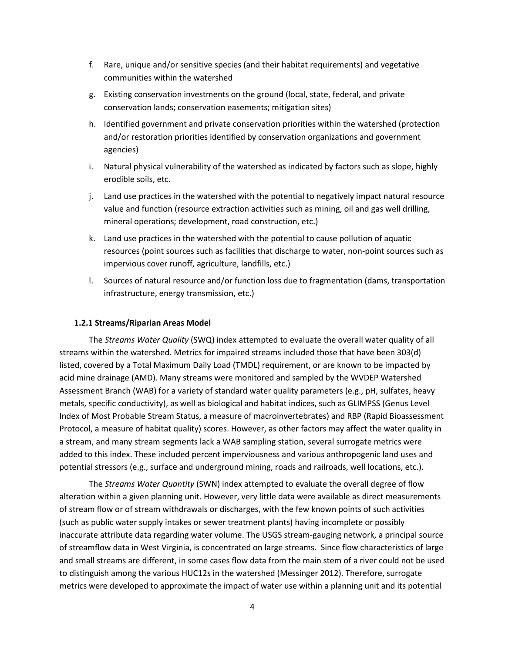- f. Rare, unique and/or sensitive species (and their habitat requirements) and vegetative communities within the watershed
- g. Existing conservation investments on the ground (local, state, federal, and private conservation lands; conservation easements; mitigation sites)
- h. Identified government and private conservation priorities within the watershed (protection and/or restoration priorities identified by conservation organizations and government agencies)
- i. Natural physical vulnerability of the watershed as indicated by factors such as slope, highly erodible soils, etc.
- j. Land use practices in the watershed with the potential to negatively impact natural resource value and function (resource extraction activities such as mining, oil and gas well drilling, mineral operations; development, road construction, etc.)
- k. Land use practices in the watershed with the potential to cause pollution of aquatic resources (point sources such as facilities that discharge to water, non-point sources such as impervious cover runoff, agriculture, landfills, etc.)
- l. Sources of natural resource and/or function loss due to fragmentation (dams, transportation infrastructure, energy transmission, etc.)

## **1.2.1 Streams/Riparian Areas Model**

The *Streams Water Quality* (SWQ) index attempted to evaluate the overall water quality of all streams within the watershed. Metrics for impaired streams included those that have been 303(d) listed, covered by a Total Maximum Daily Load (TMDL) requirement, or are known to be impacted by acid mine drainage (AMD). Many streams were monitored and sampled by the WVDEP Watershed Assessment Branch (WAB) for a variety of standard water quality parameters (e.g., pH, sulfates, heavy metals, specific conductivity), as well as biological and habitat indices, such as GLIMPSS (Genus Level Index of Most Probable Stream Status, a measure of macroinvertebrates) and RBP (Rapid Bioassessment Protocol, a measure of habitat quality) scores. However, as other factors may affect the water quality in a stream, and many stream segments lack a WAB sampling station, several surrogate metrics were added to this index. These included percent imperviousness and various anthropogenic land uses and potential stressors (e.g., surface and underground mining, roads and railroads, well locations, etc.).

The *Streams Water Quantity* (SWN) index attempted to evaluate the overall degree of flow alteration within a given planning unit. However, very little data were available as direct measurements of stream flow or of stream withdrawals or discharges, with the few known points of such activities (such as public water supply intakes or sewer treatment plants) having incomplete or possibly inaccurate attribute data regarding water volume. The USGS stream-gauging network, a principal source of streamflow data in West Virginia, is concentrated on large streams. Since flow characteristics of large and small streams are different, in some cases flow data from the main stem of a river could not be used to distinguish among the various HUC12s in the watershed (Messinger 2012). Therefore, surrogate metrics were developed to approximate the impact of water use within a planning unit and its potential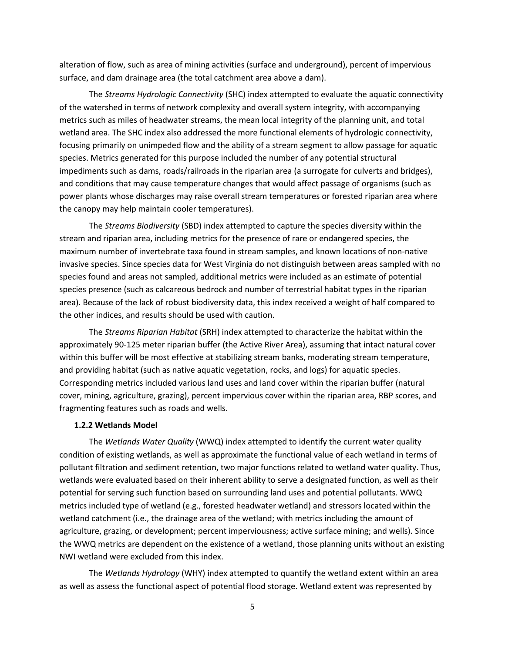alteration of flow, such as area of mining activities (surface and underground), percent of impervious surface, and dam drainage area (the total catchment area above a dam).

The *Streams Hydrologic Connectivity* (SHC) index attempted to evaluate the aquatic connectivity of the watershed in terms of network complexity and overall system integrity, with accompanying metrics such as miles of headwater streams, the mean local integrity of the planning unit, and total wetland area. The SHC index also addressed the more functional elements of hydrologic connectivity, focusing primarily on unimpeded flow and the ability of a stream segment to allow passage for aquatic species. Metrics generated for this purpose included the number of any potential structural impediments such as dams, roads/railroads in the riparian area (a surrogate for culverts and bridges), and conditions that may cause temperature changes that would affect passage of organisms (such as power plants whose discharges may raise overall stream temperatures or forested riparian area where the canopy may help maintain cooler temperatures).

The *Streams Biodiversity* (SBD) index attempted to capture the species diversity within the stream and riparian area, including metrics for the presence of rare or endangered species, the maximum number of invertebrate taxa found in stream samples, and known locations of non-native invasive species. Since species data for West Virginia do not distinguish between areas sampled with no species found and areas not sampled, additional metrics were included as an estimate of potential species presence (such as calcareous bedrock and number of terrestrial habitat types in the riparian area). Because of the lack of robust biodiversity data, this index received a weight of half compared to the other indices, and results should be used with caution.

The *Streams Riparian Habitat* (SRH) index attempted to characterize the habitat within the approximately 90-125 meter riparian buffer (the Active River Area), assuming that intact natural cover within this buffer will be most effective at stabilizing stream banks, moderating stream temperature, and providing habitat (such as native aquatic vegetation, rocks, and logs) for aquatic species. Corresponding metrics included various land uses and land cover within the riparian buffer (natural cover, mining, agriculture, grazing), percent impervious cover within the riparian area, RBP scores, and fragmenting features such as roads and wells.

#### **1.2.2 Wetlands Model**

The *Wetlands Water Quality* (WWQ) index attempted to identify the current water quality condition of existing wetlands, as well as approximate the functional value of each wetland in terms of pollutant filtration and sediment retention, two major functions related to wetland water quality. Thus, wetlands were evaluated based on their inherent ability to serve a designated function, as well as their potential for serving such function based on surrounding land uses and potential pollutants. WWQ metrics included type of wetland (e.g., forested headwater wetland) and stressors located within the wetland catchment (i.e., the drainage area of the wetland; with metrics including the amount of agriculture, grazing, or development; percent imperviousness; active surface mining; and wells). Since the WWQ metrics are dependent on the existence of a wetland, those planning units without an existing NWI wetland were excluded from this index.

The *Wetlands Hydrology* (WHY) index attempted to quantify the wetland extent within an area as well as assess the functional aspect of potential flood storage. Wetland extent was represented by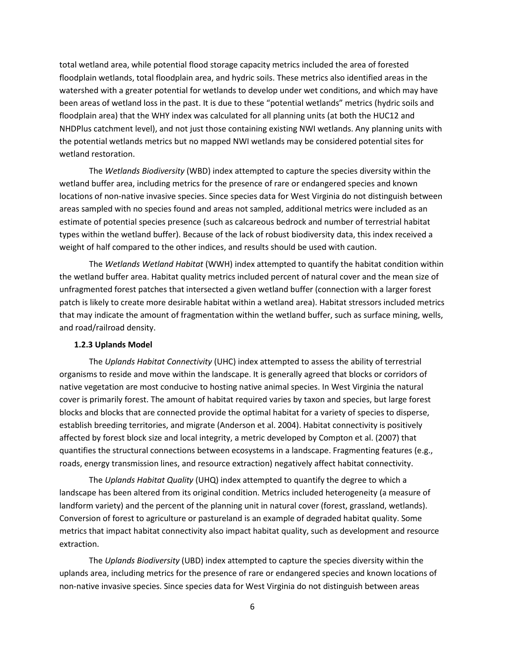total wetland area, while potential flood storage capacity metrics included the area of forested floodplain wetlands, total floodplain area, and hydric soils. These metrics also identified areas in the watershed with a greater potential for wetlands to develop under wet conditions, and which may have been areas of wetland loss in the past. It is due to these "potential wetlands" metrics (hydric soils and floodplain area) that the WHY index was calculated for all planning units (at both the HUC12 and NHDPlus catchment level), and not just those containing existing NWI wetlands. Any planning units with the potential wetlands metrics but no mapped NWI wetlands may be considered potential sites for wetland restoration.

The *Wetlands Biodiversity* (WBD) index attempted to capture the species diversity within the wetland buffer area, including metrics for the presence of rare or endangered species and known locations of non-native invasive species. Since species data for West Virginia do not distinguish between areas sampled with no species found and areas not sampled, additional metrics were included as an estimate of potential species presence (such as calcareous bedrock and number of terrestrial habitat types within the wetland buffer). Because of the lack of robust biodiversity data, this index received a weight of half compared to the other indices, and results should be used with caution.

The *Wetlands Wetland Habitat* (WWH) index attempted to quantify the habitat condition within the wetland buffer area. Habitat quality metrics included percent of natural cover and the mean size of unfragmented forest patches that intersected a given wetland buffer (connection with a larger forest patch is likely to create more desirable habitat within a wetland area). Habitat stressors included metrics that may indicate the amount of fragmentation within the wetland buffer, such as surface mining, wells, and road/railroad density.

## **1.2.3 Uplands Model**

The *Uplands Habitat Connectivity* (UHC) index attempted to assess the ability of terrestrial organisms to reside and move within the landscape. It is generally agreed that blocks or corridors of native vegetation are most conducive to hosting native animal species. In West Virginia the natural cover is primarily forest. The amount of habitat required varies by taxon and species, but large forest blocks and blocks that are connected provide the optimal habitat for a variety of species to disperse, establish breeding territories, and migrate (Anderson et al. 2004). Habitat connectivity is positively affected by forest block size and local integrity, a metric developed by Compton et al. (2007) that quantifies the structural connections between ecosystems in a landscape. Fragmenting features (e.g., roads, energy transmission lines, and resource extraction) negatively affect habitat connectivity.

The *Uplands Habitat Quality* (UHQ) index attempted to quantify the degree to which a landscape has been altered from its original condition. Metrics included heterogeneity (a measure of landform variety) and the percent of the planning unit in natural cover (forest, grassland, wetlands). Conversion of forest to agriculture or pastureland is an example of degraded habitat quality. Some metrics that impact habitat connectivity also impact habitat quality, such as development and resource extraction.

The *Uplands Biodiversity* (UBD) index attempted to capture the species diversity within the uplands area, including metrics for the presence of rare or endangered species and known locations of non-native invasive species. Since species data for West Virginia do not distinguish between areas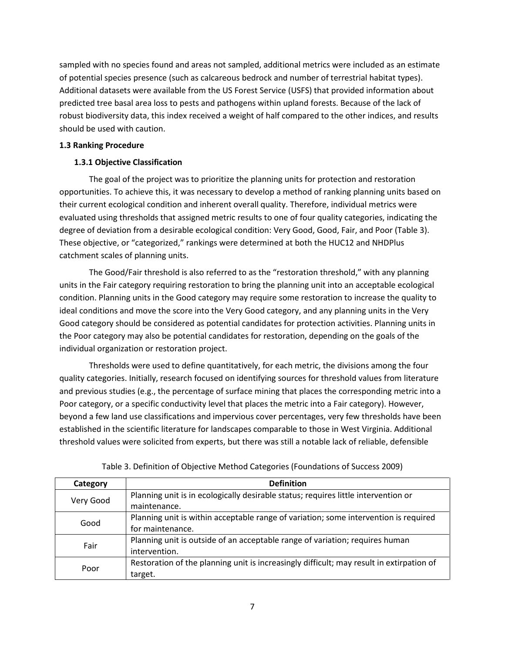sampled with no species found and areas not sampled, additional metrics were included as an estimate of potential species presence (such as calcareous bedrock and number of terrestrial habitat types). Additional datasets were available from the US Forest Service (USFS) that provided information about predicted tree basal area loss to pests and pathogens within upland forests. Because of the lack of robust biodiversity data, this index received a weight of half compared to the other indices, and results should be used with caution.

## **1.3 Ranking Procedure**

## **1.3.1 Objective Classification**

The goal of the project was to prioritize the planning units for protection and restoration opportunities. To achieve this, it was necessary to develop a method of ranking planning units based on their current ecological condition and inherent overall quality. Therefore, individual metrics were evaluated using thresholds that assigned metric results to one of four quality categories, indicating the degree of deviation from a desirable ecological condition: Very Good, Good, Fair, and Poor (Table 3). These objective, or "categorized," rankings were determined at both the HUC12 and NHDPlus catchment scales of planning units.

The Good/Fair threshold is also referred to as the "restoration threshold," with any planning units in the Fair category requiring restoration to bring the planning unit into an acceptable ecological condition. Planning units in the Good category may require some restoration to increase the quality to ideal conditions and move the score into the Very Good category, and any planning units in the Very Good category should be considered as potential candidates for protection activities. Planning units in the Poor category may also be potential candidates for restoration, depending on the goals of the individual organization or restoration project.

Thresholds were used to define quantitatively, for each metric, the divisions among the four quality categories. Initially, research focused on identifying sources for threshold values from literature and previous studies (e.g., the percentage of surface mining that places the corresponding metric into a Poor category, or a specific conductivity level that places the metric into a Fair category). However, beyond a few land use classifications and impervious cover percentages, very few thresholds have been established in the scientific literature for landscapes comparable to those in West Virginia. Additional threshold values were solicited from experts, but there was still a notable lack of reliable, defensible

| Category  | <b>Definition</b>                                                                        |
|-----------|------------------------------------------------------------------------------------------|
| Very Good | Planning unit is in ecologically desirable status; requires little intervention or       |
|           | maintenance.                                                                             |
| Good      | Planning unit is within acceptable range of variation; some intervention is required     |
|           | for maintenance.                                                                         |
| Fair      | Planning unit is outside of an acceptable range of variation; requires human             |
|           | intervention.                                                                            |
|           | Restoration of the planning unit is increasingly difficult; may result in extirpation of |
| Poor      | target.                                                                                  |

|  |  | Table 3. Definition of Objective Method Categories (Foundations of Success 2009) |  |  |
|--|--|----------------------------------------------------------------------------------|--|--|
|--|--|----------------------------------------------------------------------------------|--|--|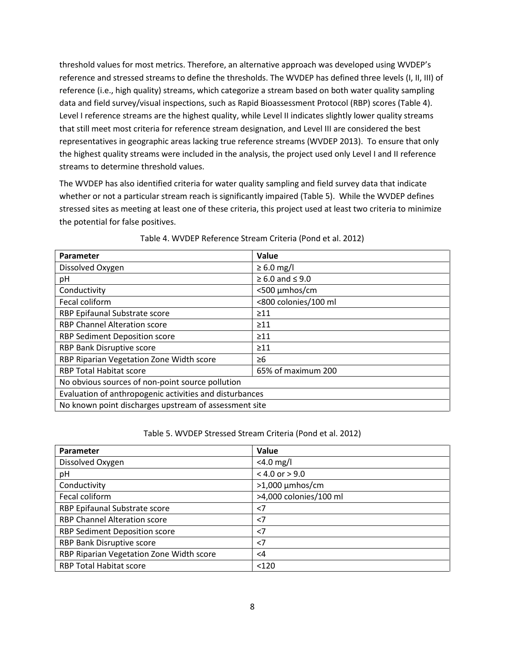threshold values for most metrics. Therefore, an alternative approach was developed using WVDEP's reference and stressed streams to define the thresholds. The WVDEP has defined three levels (I, II, III) of reference (i.e., high quality) streams, which categorize a stream based on both water quality sampling data and field survey/visual inspections, such as Rapid Bioassessment Protocol (RBP) scores (Table 4). Level I reference streams are the highest quality, while Level II indicates slightly lower quality streams that still meet most criteria for reference stream designation, and Level III are considered the best representatives in geographic areas lacking true reference streams (WVDEP 2013). To ensure that only the highest quality streams were included in the analysis, the project used only Level I and II reference streams to determine threshold values.

The WVDEP has also identified criteria for water quality sampling and field survey data that indicate whether or not a particular stream reach is significantly impaired (Table 5). While the WVDEP defines stressed sites as meeting at least one of these criteria, this project used at least two criteria to minimize the potential for false positives.

| Parameter                                               | Value                     |  |  |  |
|---------------------------------------------------------|---------------------------|--|--|--|
| Dissolved Oxygen                                        | $\geq 6.0$ mg/l           |  |  |  |
| pH                                                      | $\geq 6.0$ and $\leq 9.0$ |  |  |  |
| Conductivity                                            | <500 µmhos/cm             |  |  |  |
| Fecal coliform                                          | <800 colonies/100 ml      |  |  |  |
| RBP Epifaunal Substrate score                           | $\geq 11$                 |  |  |  |
| <b>RBP Channel Alteration score</b>                     | $\geq$ 11                 |  |  |  |
| RBP Sediment Deposition score                           | $\geq 11$                 |  |  |  |
| RBP Bank Disruptive score                               | $\geq$ 11                 |  |  |  |
| RBP Riparian Vegetation Zone Width score                | ≥6                        |  |  |  |
| <b>RBP Total Habitat score</b>                          | 65% of maximum 200        |  |  |  |
| No obvious sources of non-point source pollution        |                           |  |  |  |
| Evaluation of anthropogenic activities and disturbances |                           |  |  |  |
| No known point discharges upstream of assessment site   |                           |  |  |  |

## Table 4. WVDEP Reference Stream Criteria (Pond et al. 2012)

#### Table 5. WVDEP Stressed Stream Criteria (Pond et al. 2012)

| Parameter                                | Value                  |
|------------------------------------------|------------------------|
| Dissolved Oxygen                         | $<$ 4.0 mg/l           |
| pH                                       | $< 4.0$ or $> 9.0$     |
| Conductivity                             | $>1,000$ µmhos/cm      |
| Fecal coliform                           | >4,000 colonies/100 ml |
| RBP Epifaunal Substrate score            | $<$ 7                  |
| <b>RBP Channel Alteration score</b>      | $<$ 7                  |
| RBP Sediment Deposition score            | $<$ 7                  |
| RBP Bank Disruptive score                | $<$ 7                  |
| RBP Riparian Vegetation Zone Width score | $\leq$ 4               |
| <b>RBP Total Habitat score</b>           | < 120                  |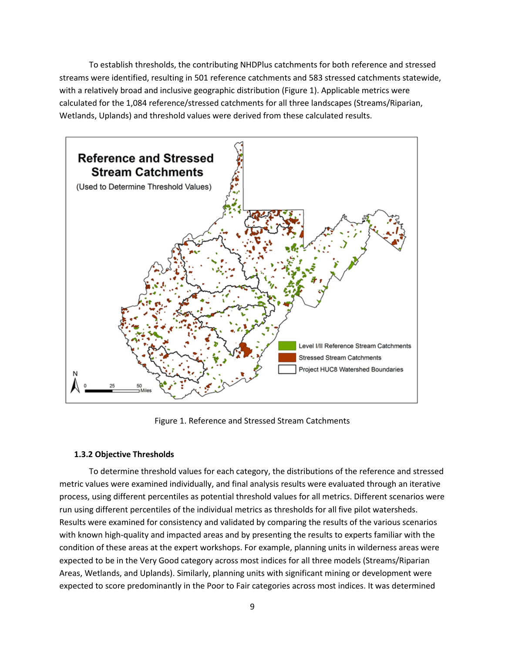To establish thresholds, the contributing NHDPlus catchments for both reference and stressed streams were identified, resulting in 501 reference catchments and 583 stressed catchments statewide, with a relatively broad and inclusive geographic distribution (Figure 1). Applicable metrics were calculated for the 1,084 reference/stressed catchments for all three landscapes (Streams/Riparian, Wetlands, Uplands) and threshold values were derived from these calculated results.



Figure 1. Reference and Stressed Stream Catchments

## **1.3.2 Objective Thresholds**

To determine threshold values for each category, the distributions of the reference and stressed metric values were examined individually, and final analysis results were evaluated through an iterative process, using different percentiles as potential threshold values for all metrics. Different scenarios were run using different percentiles of the individual metrics as thresholds for all five pilot watersheds. Results were examined for consistency and validated by comparing the results of the various scenarios with known high-quality and impacted areas and by presenting the results to experts familiar with the condition of these areas at the expert workshops. For example, planning units in wilderness areas were expected to be in the Very Good category across most indices for all three models (Streams/Riparian Areas, Wetlands, and Uplands). Similarly, planning units with significant mining or development were expected to score predominantly in the Poor to Fair categories across most indices. It was determined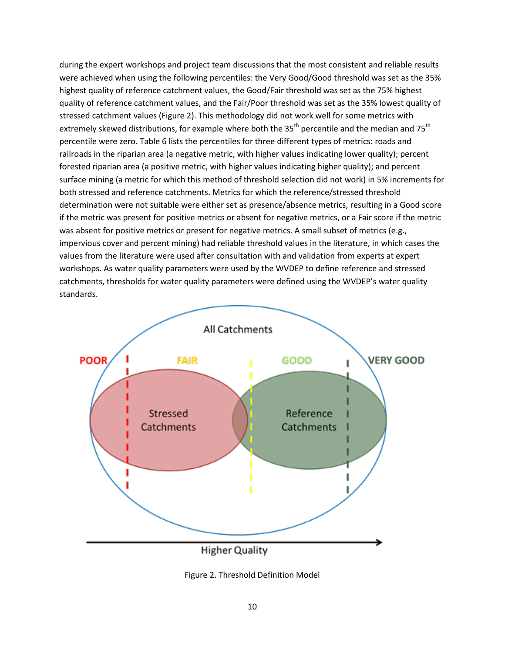during the expert workshops and project team discussions that the most consistent and reliable results were achieved when using the following percentiles: the Very Good/Good threshold was set as the 35% highest quality of reference catchment values, the Good/Fair threshold was set as the 75% highest quality of reference catchment values, and the Fair/Poor threshold was set as the 35% lowest quality of stressed catchment values (Figure 2). This methodology did not work well for some metrics with extremely skewed distributions, for example where both the  $35<sup>th</sup>$  percentile and the median and  $75<sup>th</sup>$ percentile were zero. Table 6 lists the percentiles for three different types of metrics: roads and railroads in the riparian area (a negative metric, with higher values indicating lower quality); percent forested riparian area (a positive metric, with higher values indicating higher quality); and percent surface mining (a metric for which this method of threshold selection did not work) in 5% increments for both stressed and reference catchments. Metrics for which the reference/stressed threshold determination were not suitable were either set as presence/absence metrics, resulting in a Good score if the metric was present for positive metrics or absent for negative metrics, or a Fair score if the metric was absent for positive metrics or present for negative metrics. A small subset of metrics (e.g., impervious cover and percent mining) had reliable threshold values in the literature, in which cases the values from the literature were used after consultation with and validation from experts at expert workshops. As water quality parameters were used by the WVDEP to define reference and stressed catchments, thresholds for water quality parameters were defined using the WVDEP's water quality standards.



Figure 2. Threshold Definition Model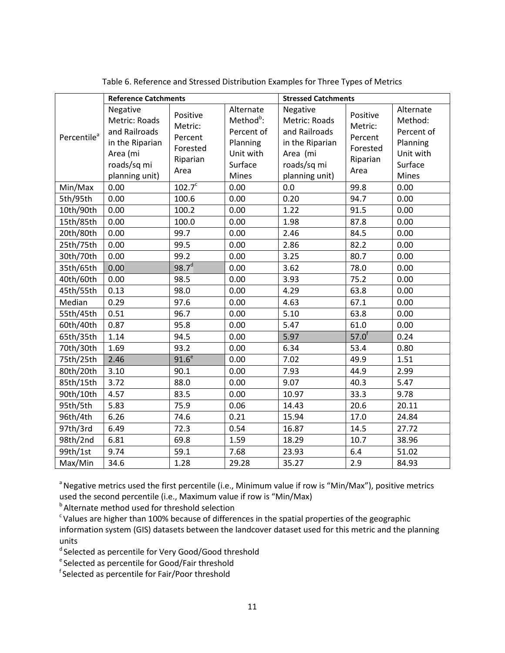|                         | <b>Reference Catchments</b>                                                                                |                                                                |                                                                                               | <b>Stressed Catchments</b>                                                                                 |                                                                |                                                                                 |
|-------------------------|------------------------------------------------------------------------------------------------------------|----------------------------------------------------------------|-----------------------------------------------------------------------------------------------|------------------------------------------------------------------------------------------------------------|----------------------------------------------------------------|---------------------------------------------------------------------------------|
| Percentile <sup>a</sup> | Negative<br>Metric: Roads<br>and Railroads<br>in the Riparian<br>Area (mi<br>roads/sq mi<br>planning unit) | Positive<br>Metric:<br>Percent<br>Forested<br>Riparian<br>Area | Alternate<br>Method <sup>b</sup> :<br>Percent of<br>Planning<br>Unit with<br>Surface<br>Mines | Negative<br>Metric: Roads<br>and Railroads<br>in the Riparian<br>Area (mi<br>roads/sq mi<br>planning unit) | Positive<br>Metric:<br>Percent<br>Forested<br>Riparian<br>Area | Alternate<br>Method:<br>Percent of<br>Planning<br>Unit with<br>Surface<br>Mines |
| Min/Max                 | 0.00                                                                                                       | $102.7^{\circ}$                                                | 0.00                                                                                          | 0.0                                                                                                        | 99.8                                                           | 0.00                                                                            |
| 5th/95th                | 0.00                                                                                                       | 100.6                                                          | 0.00                                                                                          | 0.20                                                                                                       | 94.7                                                           | 0.00                                                                            |
| 10th/90th               | 0.00                                                                                                       | 100.2                                                          | 0.00                                                                                          | 1.22                                                                                                       | 91.5                                                           | 0.00                                                                            |
| 15th/85th               | 0.00                                                                                                       | 100.0                                                          | 0.00                                                                                          | 1.98                                                                                                       | 87.8                                                           | 0.00                                                                            |
| 20th/80th               | 0.00                                                                                                       | 99.7                                                           | 0.00                                                                                          | 2.46                                                                                                       | 84.5                                                           | 0.00                                                                            |
| 25th/75th               | 0.00                                                                                                       | 99.5                                                           | 0.00                                                                                          | 2.86                                                                                                       | 82.2                                                           | 0.00                                                                            |
| 30th/70th               | 0.00                                                                                                       | 99.2                                                           | 0.00                                                                                          | 3.25                                                                                                       | 80.7                                                           | 0.00                                                                            |
| 35th/65th               | 0.00                                                                                                       | $98.7^{d}$                                                     | 0.00                                                                                          | 3.62                                                                                                       | 78.0                                                           | 0.00                                                                            |
| 40th/60th               | 0.00                                                                                                       | 98.5                                                           | 0.00                                                                                          | 3.93                                                                                                       | 75.2                                                           | 0.00                                                                            |
| 45th/55th               | 0.13                                                                                                       | 98.0                                                           | 0.00                                                                                          | 4.29                                                                                                       | 63.8                                                           | 0.00                                                                            |
| Median                  | 0.29                                                                                                       | 97.6                                                           | 0.00                                                                                          | 4.63                                                                                                       | 67.1                                                           | 0.00                                                                            |
| 55th/45th               | 0.51                                                                                                       | 96.7                                                           | 0.00                                                                                          | 5.10                                                                                                       | 63.8                                                           | 0.00                                                                            |
| 60th/40th               | 0.87                                                                                                       | 95.8                                                           | 0.00                                                                                          | 5.47                                                                                                       | 61.0                                                           | 0.00                                                                            |
| 65th/35th               | 1.14                                                                                                       | 94.5                                                           | 0.00                                                                                          | 5.97                                                                                                       | 57.0 <sup>f</sup>                                              | 0.24                                                                            |
| 70th/30th               | 1.69                                                                                                       | 93.2                                                           | 0.00                                                                                          | 6.34                                                                                                       | 53.4                                                           | 0.80                                                                            |
| 75th/25th               | 2.46                                                                                                       | $91.6^e$                                                       | 0.00                                                                                          | 7.02                                                                                                       | 49.9                                                           | 1.51                                                                            |
| 80th/20th               | 3.10                                                                                                       | 90.1                                                           | 0.00                                                                                          | 7.93                                                                                                       | 44.9                                                           | 2.99                                                                            |
| 85th/15th               | 3.72                                                                                                       | 88.0                                                           | 0.00                                                                                          | 9.07                                                                                                       | 40.3                                                           | 5.47                                                                            |
| 90th/10th               | 4.57                                                                                                       | 83.5                                                           | 0.00                                                                                          | 10.97                                                                                                      | 33.3                                                           | 9.78                                                                            |
| 95th/5th                | 5.83                                                                                                       | 75.9                                                           | 0.06                                                                                          | 14.43                                                                                                      | 20.6                                                           | 20.11                                                                           |
| 96th/4th                | 6.26                                                                                                       | 74.6                                                           | 0.21                                                                                          | 15.94                                                                                                      | 17.0                                                           | 24.84                                                                           |
| 97th/3rd                | 6.49                                                                                                       | 72.3                                                           | 0.54                                                                                          | 16.87                                                                                                      | 14.5                                                           | 27.72                                                                           |
| 98th/2nd                | 6.81                                                                                                       | 69.8                                                           | 1.59                                                                                          | 18.29                                                                                                      | 10.7                                                           | 38.96                                                                           |
| 99th/1st                | 9.74                                                                                                       | 59.1                                                           | 7.68                                                                                          | 23.93                                                                                                      | 6.4                                                            | 51.02                                                                           |
| Max/Min                 | 34.6                                                                                                       | 1.28                                                           | 29.28                                                                                         | 35.27                                                                                                      | 2.9                                                            | 84.93                                                                           |

Table 6. Reference and Stressed Distribution Examples for Three Types of Metrics

<sup>a</sup> Negative metrics used the first percentile (i.e., Minimum value if row is "Min/Max"), positive metrics used the second percentile (i.e., Maximum value if row is "Min/Max)

**b** Alternate method used for threshold selection

<sup>c</sup> Values are higher than 100% because of differences in the spatial properties of the geographic information system (GIS) datasets between the landcover dataset used for this metric and the planning units

<sup>d</sup> Selected as percentile for Very Good/Good threshold

e Selected as percentile for Good/Fair threshold

f Selected as percentile for Fair/Poor threshold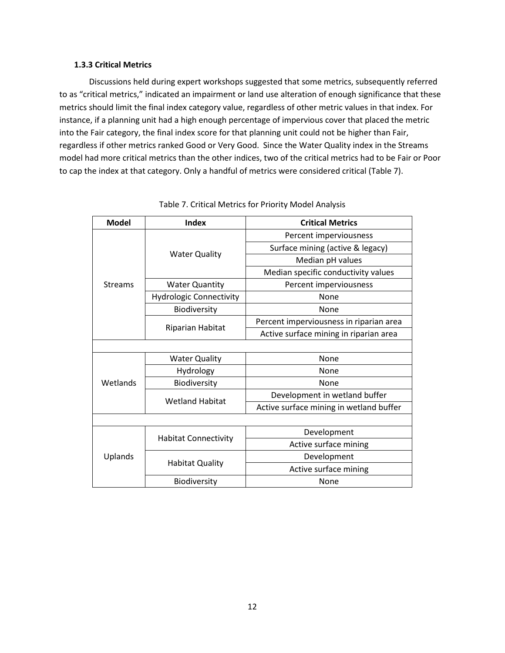## **1.3.3 Critical Metrics**

Discussions held during expert workshops suggested that some metrics, subsequently referred to as "critical metrics," indicated an impairment or land use alteration of enough significance that these metrics should limit the final index category value, regardless of other metric values in that index. For instance, if a planning unit had a high enough percentage of impervious cover that placed the metric into the Fair category, the final index score for that planning unit could not be higher than Fair, regardless if other metrics ranked Good or Very Good. Since the Water Quality index in the Streams model had more critical metrics than the other indices, two of the critical metrics had to be Fair or Poor to cap the index at that category. Only a handful of metrics were considered critical (Table 7).

| <b>Model</b>   | <b>Index</b>                   | <b>Critical Metrics</b>                 |  |  |  |
|----------------|--------------------------------|-----------------------------------------|--|--|--|
|                |                                | Percent imperviousness                  |  |  |  |
| <b>Streams</b> |                                | Surface mining (active & legacy)        |  |  |  |
|                | <b>Water Quality</b>           | Median pH values                        |  |  |  |
|                |                                | Median specific conductivity values     |  |  |  |
|                | <b>Water Quantity</b>          | Percent imperviousness                  |  |  |  |
|                | <b>Hydrologic Connectivity</b> | None                                    |  |  |  |
|                | Biodiversity                   | <b>None</b>                             |  |  |  |
|                |                                | Percent imperviousness in riparian area |  |  |  |
|                | <b>Riparian Habitat</b>        | Active surface mining in riparian area  |  |  |  |
|                |                                |                                         |  |  |  |
|                | <b>Water Quality</b>           | None                                    |  |  |  |
|                | Hydrology                      | None                                    |  |  |  |
| Wetlands       | Biodiversity                   | None                                    |  |  |  |
|                | <b>Wetland Habitat</b>         | Development in wetland buffer           |  |  |  |
|                |                                | Active surface mining in wetland buffer |  |  |  |
|                |                                |                                         |  |  |  |
|                |                                | Development                             |  |  |  |
|                | <b>Habitat Connectivity</b>    | Active surface mining                   |  |  |  |
| Uplands        |                                | Development                             |  |  |  |
|                | <b>Habitat Quality</b>         | Active surface mining                   |  |  |  |
|                | Biodiversity                   | None                                    |  |  |  |

Table 7. Critical Metrics for Priority Model Analysis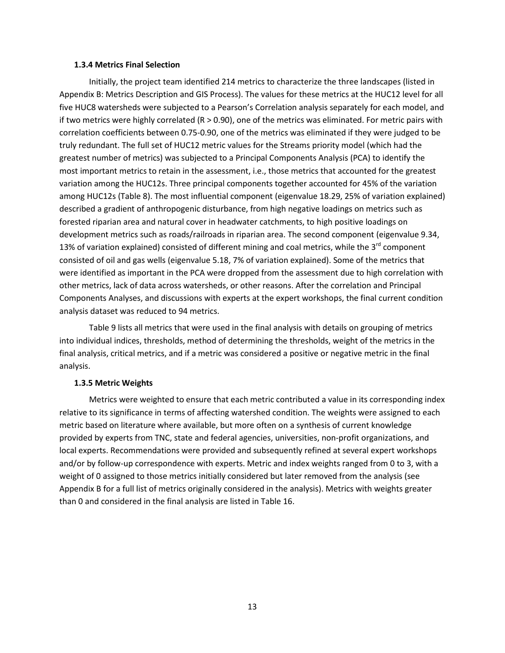#### **1.3.4 Metrics Final Selection**

Initially, the project team identified 214 metrics to characterize the three landscapes (listed in Appendix B: Metrics Description and GIS Process). The values for these metrics at the HUC12 level for all five HUC8 watersheds were subjected to a Pearson's Correlation analysis separately for each model, and if two metrics were highly correlated (R > 0.90), one of the metrics was eliminated. For metric pairs with correlation coefficients between 0.75-0.90, one of the metrics was eliminated if they were judged to be truly redundant. The full set of HUC12 metric values for the Streams priority model (which had the greatest number of metrics) was subjected to a Principal Components Analysis (PCA) to identify the most important metrics to retain in the assessment, i.e., those metrics that accounted for the greatest variation among the HUC12s. Three principal components together accounted for 45% of the variation among HUC12s (Table 8). The most influential component (eigenvalue 18.29, 25% of variation explained) described a gradient of anthropogenic disturbance, from high negative loadings on metrics such as forested riparian area and natural cover in headwater catchments, to high positive loadings on development metrics such as roads/railroads in riparian area. The second component (eigenvalue 9.34, 13% of variation explained) consisted of different mining and coal metrics, while the  $3^{rd}$  component consisted of oil and gas wells (eigenvalue 5.18, 7% of variation explained). Some of the metrics that were identified as important in the PCA were dropped from the assessment due to high correlation with other metrics, lack of data across watersheds, or other reasons. After the correlation and Principal Components Analyses, and discussions with experts at the expert workshops, the final current condition analysis dataset was reduced to 94 metrics.

Table 9 lists all metrics that were used in the final analysis with details on grouping of metrics into individual indices, thresholds, method of determining the thresholds, weight of the metrics in the final analysis, critical metrics, and if a metric was considered a positive or negative metric in the final analysis.

## **1.3.5 Metric Weights**

Metrics were weighted to ensure that each metric contributed a value in its corresponding index relative to its significance in terms of affecting watershed condition. The weights were assigned to each metric based on literature where available, but more often on a synthesis of current knowledge provided by experts from TNC, state and federal agencies, universities, non-profit organizations, and local experts. Recommendations were provided and subsequently refined at several expert workshops and/or by follow-up correspondence with experts. Metric and index weights ranged from 0 to 3, with a weight of 0 assigned to those metrics initially considered but later removed from the analysis (see Appendix B for a full list of metrics originally considered in the analysis). Metrics with weights greater than 0 and considered in the final analysis are listed in Table 16.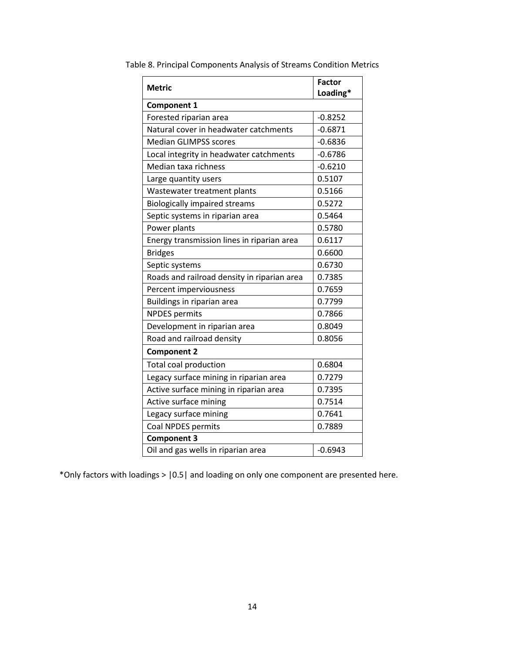| <b>Metric</b>                               | <b>Factor</b> |
|---------------------------------------------|---------------|
|                                             | Loading*      |
| <b>Component 1</b>                          |               |
| Forested riparian area                      | $-0.8252$     |
| Natural cover in headwater catchments       | $-0.6871$     |
| <b>Median GLIMPSS scores</b>                | $-0.6836$     |
| Local integrity in headwater catchments     | $-0.6786$     |
| Median taxa richness                        | $-0.6210$     |
| Large quantity users                        | 0.5107        |
| Wastewater treatment plants                 | 0.5166        |
| <b>Biologically impaired streams</b>        | 0.5272        |
| Septic systems in riparian area             | 0.5464        |
| Power plants                                | 0.5780        |
| Energy transmission lines in riparian area  | 0.6117        |
| <b>Bridges</b>                              | 0.6600        |
| Septic systems                              | 0.6730        |
| Roads and railroad density in riparian area | 0.7385        |
| Percent imperviousness                      | 0.7659        |
| Buildings in riparian area                  | 0.7799        |
| <b>NPDES</b> permits                        | 0.7866        |
| Development in riparian area                | 0.8049        |
| Road and railroad density                   | 0.8056        |
| <b>Component 2</b>                          |               |
| Total coal production                       | 0.6804        |
| Legacy surface mining in riparian area      | 0.7279        |
| Active surface mining in riparian area      | 0.7395        |
| Active surface mining                       | 0.7514        |
| Legacy surface mining                       | 0.7641        |
| Coal NPDES permits                          | 0.7889        |
| <b>Component 3</b>                          |               |
| Oil and gas wells in riparian area          | $-0.6943$     |

Table 8. Principal Components Analysis of Streams Condition Metrics

\*Only factors with loadings > |0.5| and loading on only one component are presented here.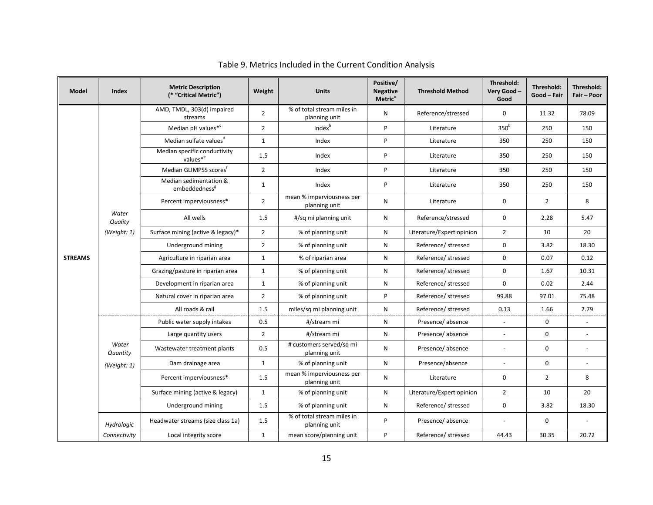| <b>Model</b>   | Index             | <b>Metric Description</b><br>(* "Critical Metric")   | Weight         | <b>Units</b>                                | Positive/<br><b>Negative</b><br><b>Metric<sup>a</sup></b> | <b>Threshold Method</b>   | Threshold:<br>Very Good-<br>Good | Threshold:<br>Good-Fair | Threshold:<br>Fair - Poor |
|----------------|-------------------|------------------------------------------------------|----------------|---------------------------------------------|-----------------------------------------------------------|---------------------------|----------------------------------|-------------------------|---------------------------|
|                |                   | AMD, TMDL, 303(d) impaired<br>streams                | $\overline{2}$ | % of total stream miles in<br>planning unit | N                                                         | Reference/stressed        | $\mathbf 0$                      | 11.32                   | 78.09                     |
|                |                   | Median pH values* <sup>c</sup>                       | $\overline{2}$ | Index <sup>b</sup>                          | P                                                         | Literature                | 350 <sup>b</sup>                 | 250                     | 150                       |
|                |                   | Median sulfate values <sup>d</sup>                   | $\mathbf{1}$   | Index                                       | P                                                         | Literature                | 350                              | 250                     | 150                       |
|                |                   | Median specific conductivity<br>values <sup>*e</sup> | 1.5            | Index                                       | P                                                         | Literature                | 350                              | 250                     | 150                       |
|                |                   | Median GLIMPSS scores <sup>f</sup>                   | $\overline{2}$ | Index                                       | P                                                         | Literature                | 350                              | 250                     | 150                       |
|                |                   | Median sedimentation &<br>embeddedness <sup>8</sup>  | $\mathbf{1}$   | Index                                       | P                                                         | Literature                | 350                              | 250                     | 150                       |
|                |                   | Percent imperviousness*                              | $\overline{2}$ | mean % imperviousness per<br>planning unit  | N                                                         | Literature                | $\mathbf 0$                      | $\overline{2}$          | 8                         |
|                | Water<br>Quality  | All wells                                            | 1.5            | #/sq mi planning unit                       | N                                                         | Reference/stressed        | $\Omega$                         | 2.28                    | 5.47                      |
|                | (Weight: $1$ )    | Surface mining (active & legacy)*                    | $\overline{2}$ | % of planning unit                          | N                                                         | Literature/Expert opinion | $\overline{2}$                   | 10                      | 20                        |
|                |                   | Underground mining                                   | $\overline{2}$ | % of planning unit                          | N                                                         | Reference/ stressed       | $\mathbf 0$                      | 3.82                    | 18.30                     |
| <b>STREAMS</b> |                   | Agriculture in riparian area                         | $\mathbf{1}$   | % of riparian area                          | N                                                         | Reference/ stressed       | $\Omega$                         | 0.07                    | 0.12                      |
|                |                   | Grazing/pasture in riparian area                     | $\mathbf{1}$   | % of planning unit                          | N                                                         | Reference/ stressed       | $\mathbf 0$                      | 1.67                    | 10.31                     |
|                |                   | Development in riparian area                         | $\mathbf{1}$   | % of planning unit                          | ${\sf N}$                                                 | Reference/ stressed       | $\mathbf 0$                      | 0.02                    | 2.44                      |
|                |                   | Natural cover in riparian area                       | $\overline{2}$ | % of planning unit                          | P                                                         | Reference/ stressed       | 99.88                            | 97.01                   | 75.48                     |
|                |                   | All roads & rail                                     | 1.5            | miles/sq mi planning unit                   | N                                                         | Reference/ stressed       | 0.13                             | 1.66                    | 2.79                      |
|                |                   | Public water supply intakes                          | 0.5            | #/stream mi                                 | N                                                         | Presence/absence          | $\overline{a}$                   | 0                       | $\blacksquare$            |
|                |                   | Large quantity users                                 | $\overline{2}$ | #/stream mi                                 | N                                                         | Presence/absence          | ÷,                               | 0                       |                           |
|                | Water<br>Quantity | Wastewater treatment plants                          | 0.5            | # customers served/sq mi<br>planning unit   | N                                                         | Presence/absence          | ÷,                               | $\boldsymbol{0}$        |                           |
|                | (Weight: 1)       | Dam drainage area                                    | $\mathbf{1}$   | % of planning unit                          | N                                                         | Presence/absence          | $\overline{a}$                   | 0                       | $\overline{a}$            |
|                |                   | Percent imperviousness*                              | 1.5            | mean % imperviousness per<br>planning unit  | N                                                         | Literature                | $\mathbf 0$                      | $\overline{2}$          | 8                         |
|                |                   | Surface mining (active & legacy)                     | $\mathbf{1}$   | % of planning unit                          | N                                                         | Literature/Expert opinion | $\overline{2}$                   | 10                      | 20                        |
|                |                   | Underground mining                                   | 1.5            | % of planning unit                          | N                                                         | Reference/ stressed       | $\mathbf 0$                      | 3.82                    | 18.30                     |
|                | Hydrologic        | Headwater streams (size class 1a)                    | 1.5            | % of total stream miles in<br>planning unit | P                                                         | Presence/absence          | ÷,                               | 0                       |                           |
|                | Connectivity      | Local integrity score                                | $\mathbf{1}$   | mean score/planning unit                    | P                                                         | Reference/ stressed       | 44.43                            | 30.35                   | 20.72                     |

## Table 9. Metrics Included in the Current Condition Analysis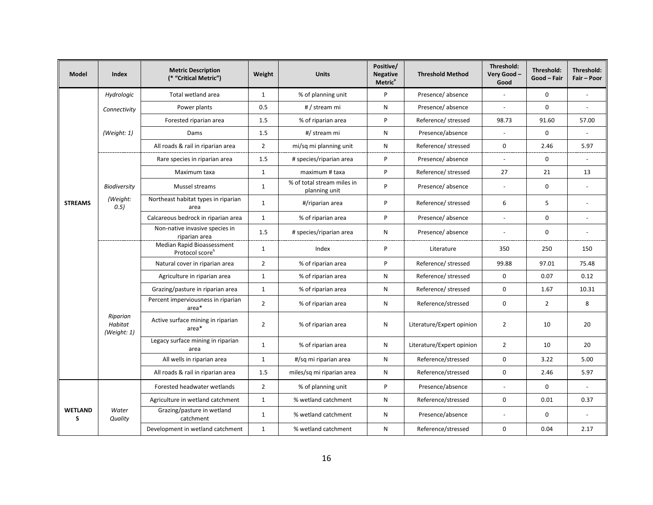| <b>Model</b>        | Index                              | <b>Metric Description</b><br>(* "Critical Metric")        | Weight         | <b>Units</b>                                | Positive/<br><b>Negative</b><br><b>Metric<sup>a</sup></b> | <b>Threshold Method</b>   | Threshold:<br>Very Good-<br>Good | Threshold:<br>Good - Fair | Threshold:<br>Fair - Poor |
|---------------------|------------------------------------|-----------------------------------------------------------|----------------|---------------------------------------------|-----------------------------------------------------------|---------------------------|----------------------------------|---------------------------|---------------------------|
|                     | Hydrologic                         | Total wetland area                                        | $\mathbf{1}$   | % of planning unit                          | P                                                         | Presence/absence          |                                  | $\mathbf 0$               |                           |
|                     | Connectivity                       | Power plants                                              | 0.5            | # / stream mi                               | N                                                         | Presence/absence          |                                  | $\mathbf 0$               |                           |
|                     |                                    | Forested riparian area                                    | 1.5            | % of riparian area                          | P                                                         | Reference/ stressed       | 98.73                            | 91.60                     | 57.00                     |
|                     | (Weight: 1)                        | Dams                                                      | 1.5            | #/ stream mi                                | ${\sf N}$                                                 | Presence/absence          | $\sim$                           | $\mathbf 0$               |                           |
|                     |                                    | All roads & rail in riparian area                         | $\overline{2}$ | mi/sq mi planning unit                      | N                                                         | Reference/ stressed       | $\mathbf 0$                      | 2.46                      | 5.97                      |
|                     |                                    | Rare species in riparian area                             | 1.5            | # species/riparian area                     | P                                                         | Presence/absence          |                                  | $\mathbf 0$               |                           |
|                     |                                    | Maximum taxa                                              | $\mathbf{1}$   | maximum # taxa                              | P                                                         | Reference/ stressed       | 27                               | 21                        | 13                        |
|                     | Biodiversity                       | Mussel streams                                            | $\mathbf{1}$   | % of total stream miles in<br>planning unit | P                                                         | Presence/absence          |                                  | $\mathbf 0$               |                           |
| <b>STREAMS</b>      | (Weight:<br>0.5)                   | Northeast habitat types in riparian<br>area               | $\mathbf{1}$   | #/riparian area                             | P                                                         | Reference/ stressed       | 6                                | 5                         |                           |
|                     |                                    | Calcareous bedrock in riparian area                       | $\mathbf{1}$   | % of riparian area                          | P                                                         | Presence/absence          | $\overline{\phantom{a}}$         | $\mathbf 0$               | $\overline{a}$            |
|                     |                                    | Non-native invasive species in<br>riparian area           | 1.5            | # species/riparian area                     | N                                                         | Presence/absence          | $\sim$                           | 0                         |                           |
|                     |                                    | Median Rapid Bioassessment<br>Protocol score <sup>h</sup> | $\mathbf{1}$   | Index                                       | $\mathsf{P}$                                              | Literature                | 350                              | 250                       | 150                       |
|                     |                                    | Natural cover in riparian area                            | $\overline{2}$ | % of riparian area                          | P                                                         | Reference/ stressed       | 99.88                            | 97.01                     | 75.48                     |
|                     |                                    | Agriculture in riparian area                              | $\mathbf{1}$   | % of riparian area                          | N                                                         | Reference/ stressed       | $\mathbf 0$                      | 0.07                      | 0.12                      |
|                     |                                    | Grazing/pasture in riparian area                          | $\mathbf{1}$   | % of riparian area                          | N                                                         | Reference/ stressed       | $\mathbf 0$                      | 1.67                      | 10.31                     |
|                     |                                    | Percent imperviousness in riparian<br>area*               | $\overline{2}$ | % of riparian area                          | ${\sf N}$                                                 | Reference/stressed        | $\mathbf 0$                      | $\overline{2}$            | 8                         |
|                     | Riparian<br>Habitat<br>(Weight: 1) | Active surface mining in riparian<br>area*                | $\overline{2}$ | % of riparian area                          | ${\sf N}$                                                 | Literature/Expert opinion | $\overline{2}$                   | 10                        | 20                        |
|                     |                                    | Legacy surface mining in riparian<br>area                 | $\mathbf{1}$   | % of riparian area                          | N                                                         | Literature/Expert opinion | $\overline{2}$                   | 10                        | 20                        |
|                     |                                    | All wells in riparian area                                | $\mathbf{1}$   | #/sq mi riparian area                       | ${\sf N}$                                                 | Reference/stressed        | $\mathbf 0$                      | 3.22                      | 5.00                      |
|                     |                                    | All roads & rail in riparian area                         | 1.5            | miles/sq mi riparian area                   | $\mathsf{N}$                                              | Reference/stressed        | $\mathbf 0$                      | 2.46                      | 5.97                      |
|                     |                                    | Forested headwater wetlands                               | $\overline{2}$ | % of planning unit                          | P                                                         | Presence/absence          |                                  | $\mathbf 0$               |                           |
|                     |                                    | Agriculture in wetland catchment                          | $\mathbf{1}$   | % wetland catchment                         | ${\sf N}$                                                 | Reference/stressed        | $\mathbf 0$                      | 0.01                      | 0.37                      |
| <b>WETLAND</b><br>S | Water<br>Quality                   | Grazing/pasture in wetland<br>catchment                   | $\mathbf{1}$   | % wetland catchment                         | ${\sf N}$                                                 | Presence/absence          |                                  | $\mathbf 0$               |                           |
|                     |                                    | Development in wetland catchment                          | $\mathbf{1}$   | % wetland catchment                         | ${\sf N}$                                                 | Reference/stressed        | $\mathbf 0$                      | 0.04                      | 2.17                      |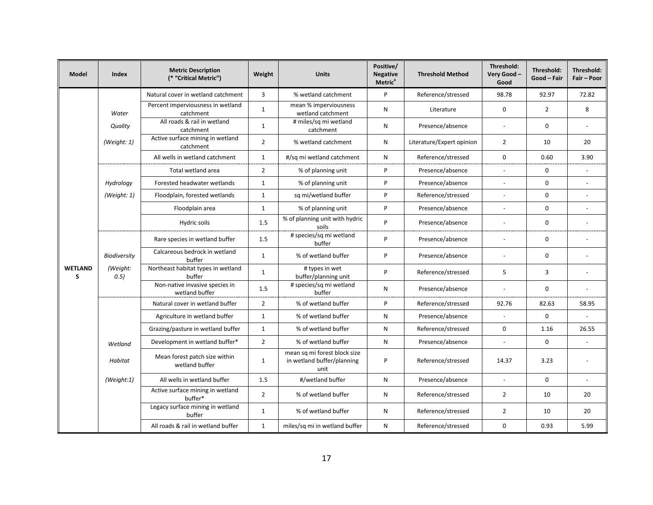| Model               | Index            | <b>Metric Description</b><br>(* "Critical Metric") | Weight         | <b>Units</b>                                                       | Positive/<br><b>Negative</b><br><b>Metric<sup>a</sup></b> | <b>Threshold Method</b>   | Threshold:<br>Very Good-<br>Good | Threshold:<br>Good - Fair | Threshold:<br>Fair - Poor |
|---------------------|------------------|----------------------------------------------------|----------------|--------------------------------------------------------------------|-----------------------------------------------------------|---------------------------|----------------------------------|---------------------------|---------------------------|
|                     |                  | Natural cover in wetland catchment                 | 3              | % wetland catchment                                                | P                                                         | Reference/stressed        | 98.78                            | 92.97                     | 72.82                     |
|                     | Water            | Percent imperviousness in wetland<br>catchment     | $\mathbf{1}$   | mean % imperviousness<br>wetland catchment                         | N                                                         | Literature                | $\mathbf 0$                      | $\overline{2}$            | 8                         |
|                     | Quality          | All roads & rail in wetland<br>catchment           | $\mathbf{1}$   | # miles/sq mi wetland<br>catchment                                 | N                                                         | Presence/absence          |                                  | $\mathbf 0$               |                           |
|                     | (Weight: 1)      | Active surface mining in wetland<br>catchment      | $\overline{2}$ | % wetland catchment                                                | N                                                         | Literature/Expert opinion | $\overline{2}$                   | 10                        | 20                        |
|                     |                  | All wells in wetland catchment                     | $\mathbf{1}$   | #/sq mi wetland catchment                                          | N                                                         | Reference/stressed        | $\mathbf 0$                      | 0.60                      | 3.90                      |
|                     |                  | Total wetland area                                 | $\overline{2}$ | % of planning unit                                                 | P                                                         | Presence/absence          | $\sim$                           | 0                         |                           |
|                     | Hydrology        | Forested headwater wetlands                        | $\mathbf{1}$   | % of planning unit                                                 | P                                                         | Presence/absence          | $\sim$                           | $\mathbf 0$               |                           |
|                     | (Weight: 1)      | Floodplain, forested wetlands                      | $\mathbf{1}$   | sq mi/wetland buffer                                               | P                                                         | Reference/stressed        |                                  | $\mathbf 0$               |                           |
|                     |                  | Floodplain area                                    | $\mathbf{1}$   | % of planning unit                                                 | P                                                         | Presence/absence          | $\overline{a}$                   | $\mathbf 0$               |                           |
|                     |                  | Hydric soils                                       | 1.5            | % of planning unit with hydric<br>soils                            | P                                                         | Presence/absence          | $\sim$                           | $\mathbf 0$               |                           |
|                     |                  | Rare species in wetland buffer                     | 1.5            | # species/sq mi wetland<br>buffer                                  | P                                                         | Presence/absence          |                                  | $\mathbf 0$               |                           |
|                     | Biodiversity     | Calcareous bedrock in wetland<br>buffer            | $\mathbf{1}$   | % of wetland buffer                                                | P                                                         | Presence/absence          |                                  | 0                         |                           |
| <b>WETLAND</b><br>S | (Weight:<br>0.5) | Northeast habitat types in wetland<br>buffer       | $\mathbf{1}$   | # types in wet<br>buffer/planning unit                             | P                                                         | Reference/stressed        | 5                                | 3                         | $\overline{a}$            |
|                     |                  | Non-native invasive species in<br>wetland buffer   | 1.5            | # species/sq mi wetland<br>buffer                                  | N                                                         | Presence/absence          |                                  | $\mathbf 0$               |                           |
|                     |                  | Natural cover in wetland buffer                    | $\overline{2}$ | % of wetland buffer                                                | P                                                         | Reference/stressed        | 92.76                            | 82.63                     | 58.95                     |
|                     |                  | Agriculture in wetland buffer                      | $\mathbf{1}$   | % of wetland buffer                                                | N                                                         | Presence/absence          | $\overline{a}$                   | $\mathbf 0$               |                           |
|                     |                  | Grazing/pasture in wetland buffer                  | $\mathbf{1}$   | % of wetland buffer                                                | ${\sf N}$                                                 | Reference/stressed        | $\mathbf 0$                      | 1.16                      | 26.55                     |
|                     | Wetland          | Development in wetland buffer*                     | $\overline{2}$ | % of wetland buffer                                                | N                                                         | Presence/absence          |                                  | $\Omega$                  |                           |
|                     | Habitat          | Mean forest patch size within<br>wetland buffer    | $\mathbf{1}$   | mean sq mi forest block size<br>in wetland buffer/planning<br>unit | P                                                         | Reference/stressed        | 14.37                            | 3.23                      |                           |
|                     | (Weight:1)       | All wells in wetland buffer                        | 1.5            | #/wetland buffer                                                   | N                                                         | Presence/absence          | $\sim$                           | $\mathbf 0$               | $\blacksquare$            |
|                     |                  | Active surface mining in wetland<br>buffer*        | $\overline{2}$ | % of wetland buffer                                                | N                                                         | Reference/stressed        | $\overline{2}$                   | 10                        | 20                        |
|                     |                  | Legacy surface mining in wetland<br>buffer         | $\mathbf{1}$   | % of wetland buffer                                                | N                                                         | Reference/stressed        | $\overline{2}$                   | 10                        | 20                        |
|                     |                  | All roads & rail in wetland buffer                 | $\mathbf{1}$   | miles/sq mi in wetland buffer                                      | ${\sf N}$                                                 | Reference/stressed        | $\mathbf 0$                      | 0.93                      | 5.99                      |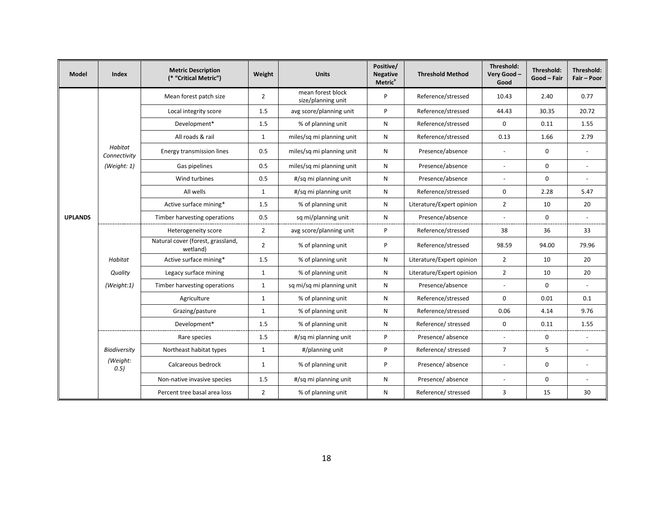| <b>Model</b>   | Index                          | <b>Metric Description</b><br>(* "Critical Metric") | Weight         | <b>Units</b>                            | Positive/<br><b>Negative</b><br><b>Metric<sup>a</sup></b> | <b>Threshold Method</b>   | Threshold:<br>Very Good-<br>Good | Threshold:<br>Good - Fair | Threshold:<br>Fair - Poor |
|----------------|--------------------------------|----------------------------------------------------|----------------|-----------------------------------------|-----------------------------------------------------------|---------------------------|----------------------------------|---------------------------|---------------------------|
|                |                                | Mean forest patch size                             | $\overline{2}$ | mean forest block<br>size/planning unit | P                                                         | Reference/stressed        | 10.43                            | 2.40                      | 0.77                      |
|                |                                | Local integrity score                              | 1.5            | avg score/planning unit                 | P                                                         | Reference/stressed        | 44.43                            | 30.35                     | 20.72                     |
|                |                                | Development*                                       | 1.5            | % of planning unit                      | ${\sf N}$                                                 | Reference/stressed        | $\mathbf 0$                      | 0.11                      | 1.55                      |
|                |                                | All roads & rail                                   | $\mathbf{1}$   | miles/sq mi planning unit               | ${\sf N}$                                                 | Reference/stressed        | 0.13                             | 1.66                      | 2.79                      |
|                | <b>Habitat</b><br>Connectivity | Energy transmission lines                          | 0.5            | miles/sq mi planning unit               | N                                                         | Presence/absence          |                                  | $\mathbf 0$               |                           |
|                | (Weight: 1)                    | Gas pipelines                                      | 0.5            | miles/sq mi planning unit               | ${\sf N}$                                                 | Presence/absence          |                                  | $\mathbf 0$               |                           |
|                |                                | Wind turbines                                      | 0.5            | #/sq mi planning unit                   | N                                                         | Presence/absence          | $\sim$                           | $\mathbf 0$               |                           |
|                |                                | All wells                                          | $\mathbf{1}$   | #/sq mi planning unit                   | ${\sf N}$                                                 | Reference/stressed        | $\mathbf 0$                      | 2.28                      | 5.47                      |
|                |                                | Active surface mining*                             | 1.5            | % of planning unit                      | ${\sf N}$                                                 | Literature/Expert opinion | $\overline{2}$                   | 10                        | 20                        |
| <b>UPLANDS</b> |                                | Timber harvesting operations                       | 0.5            | sq mi/planning unit                     | ${\sf N}$                                                 | Presence/absence          |                                  | $\mathbf 0$               |                           |
|                |                                | Heterogeneity score                                | $\overline{2}$ | avg score/planning unit                 | P                                                         | Reference/stressed        | 38                               | 36                        | 33                        |
|                |                                | Natural cover (forest, grassland,<br>wetland)      | $\overline{2}$ | % of planning unit                      | P                                                         | Reference/stressed        | 98.59                            | 94.00                     | 79.96                     |
|                | Habitat                        | Active surface mining*                             | 1.5            | % of planning unit                      | ${\sf N}$                                                 | Literature/Expert opinion | $\overline{2}$                   | 10                        | 20                        |
|                | Quality                        | Legacy surface mining                              | $\mathbf{1}$   | % of planning unit                      | N                                                         | Literature/Expert opinion | $\overline{2}$                   | 10                        | 20                        |
|                | (Weight:1)                     | Timber harvesting operations                       | $\mathbf{1}$   | sq mi/sq mi planning unit               | ${\sf N}$                                                 | Presence/absence          |                                  | $\mathbf 0$               |                           |
|                |                                | Agriculture                                        | $\mathbf{1}$   | % of planning unit                      | ${\sf N}$                                                 | Reference/stressed        | $\mathbf 0$                      | 0.01                      | 0.1                       |
|                |                                | Grazing/pasture                                    | $\mathbf{1}$   | % of planning unit                      | N                                                         | Reference/stressed        | 0.06                             | 4.14                      | 9.76                      |
|                |                                | Development*                                       | 1.5            | % of planning unit                      | N                                                         | Reference/ stressed       | $\mathbf 0$                      | 0.11                      | 1.55                      |
|                |                                | Rare species                                       | 1.5            | #/sq mi planning unit                   | P                                                         | Presence/absence          |                                  | $\mathbf 0$               |                           |
|                | <b>Biodiversity</b>            | Northeast habitat types                            | $\mathbf{1}$   | #/planning unit                         | P                                                         | Reference/ stressed       | $\overline{7}$                   | 5                         |                           |
|                | (Weight:<br>0.5)               | Calcareous bedrock                                 | $\mathbf{1}$   | % of planning unit                      | P                                                         | Presence/absence          |                                  | $\mathbf 0$               |                           |
|                |                                | Non-native invasive species                        | 1.5            | #/sq mi planning unit                   | N                                                         | Presence/absence          |                                  | $\mathbf 0$               |                           |
|                |                                | Percent tree basal area loss                       | $\overline{2}$ | % of planning unit                      | ${\sf N}$                                                 | Reference/ stressed       | 3                                | 15                        | 30                        |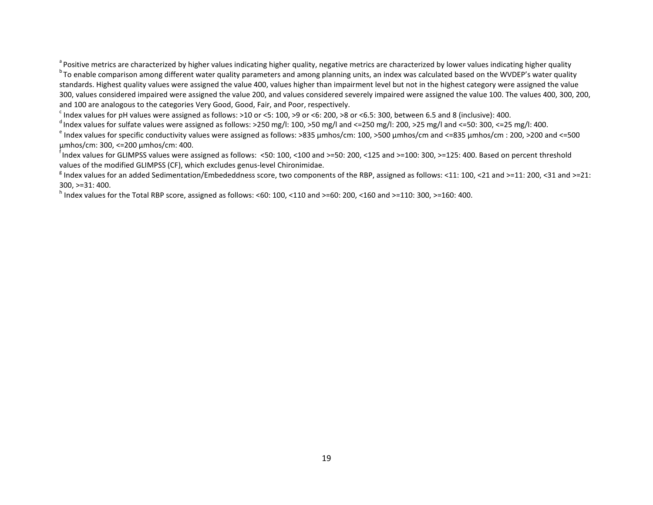<sup>a</sup> Positive metrics are characterized by higher values indicating higher quality, negative metrics are characterized by lower values indicating higher quality by a positive indicating higher quality by lower values indic

standards. Highest quality values were assigned the value 400, values higher than impairment level but not in the highest category were assigned the value 300, values considered impaired were assigned the value 200, and values considered severely impaired were assigned the value 100. The values 400, 300, 200, and 100 are analogous to the categories Very Good, Good, Fair, and Poor, respectively.

<sup>c</sup> Index values for pH values were assigned as follows: >10 or <5: 100, >9 or <6: 200, >8 or <6.5: 300, between 6.5 and 8 (inclusive): 400.<br>d index values for sulfate values were assigned as follows: >250 mg/l: 100, >50

µmhos/cm: 300, <=200 µmhos/cm: 400.

 $^{\dagger}$ Index values for GLIMPSS values were assigned as follows: <50: 100, <100 and >=50: 200, <125 and >=100: 300, >=125: 400. Based on percent threshold

values of the modified GLIMPSS (CF), which excludes genus-level Chironimidae.<br><sup>8</sup> Index values for an added Sedimentation/Embededdness score, two components of the RBP, assigned as follows: <11: 100, <21 and >=11: 200, <31 300, >=31: 400.

 $^{\circ}$  Index values for the Total RBP score, assigned as follows: <60: 100, <110 and >=60: 200, <160 and >=110: 300, >=160: 400,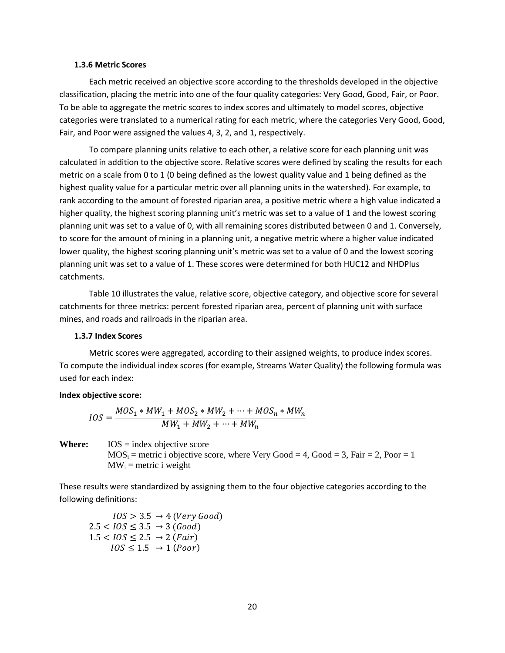#### **1.3.6 Metric Scores**

Each metric received an objective score according to the thresholds developed in the objective classification, placing the metric into one of the four quality categories: Very Good, Good, Fair, or Poor. To be able to aggregate the metric scores to index scores and ultimately to model scores, objective categories were translated to a numerical rating for each metric, where the categories Very Good, Good, Fair, and Poor were assigned the values 4, 3, 2, and 1, respectively.

To compare planning units relative to each other, a relative score for each planning unit was calculated in addition to the objective score. Relative scores were defined by scaling the results for each metric on a scale from 0 to 1 (0 being defined as the lowest quality value and 1 being defined as the highest quality value for a particular metric over all planning units in the watershed). For example, to rank according to the amount of forested riparian area, a positive metric where a high value indicated a higher quality, the highest scoring planning unit's metric was set to a value of 1 and the lowest scoring planning unit was set to a value of 0, with all remaining scores distributed between 0 and 1. Conversely, to score for the amount of mining in a planning unit, a negative metric where a higher value indicated lower quality, the highest scoring planning unit's metric was set to a value of 0 and the lowest scoring planning unit was set to a value of 1. These scores were determined for both HUC12 and NHDPlus catchments.

Table 10 illustrates the value, relative score, objective category, and objective score for several catchments for three metrics: percent forested riparian area, percent of planning unit with surface mines, and roads and railroads in the riparian area.

#### **1.3.7 Index Scores**

Metric scores were aggregated, according to their assigned weights, to produce index scores. To compute the individual index scores (for example, Streams Water Quality) the following formula was used for each index:

#### **Index objective score:**

$$
IOS = \frac{MOS_1 * MW_1 + MOS_2 * MW_2 + \dots + MOS_n * MW_n}{MW_1 + MW_2 + \dots + MW_n}
$$

**Where:**  $\text{IOS} = \text{index objective score}$ 

 $MOS_i$  = metric i objective score, where Very Good = 4, Good = 3, Fair = 2, Poor = 1  $MW_i = metric i weight$ 

These results were standardized by assigning them to the four objective categories according to the following definitions:

$$
10S > 3.5 \rightarrow 4 \text{ (Very Good)}
$$
  
2.5  $<10S \leq 3.5 \rightarrow 3 \text{ (Good)}$   
 $1.5 < 10S \leq 2.5 \rightarrow 2 \text{ (Fair)}$   
 $10S \leq 1.5 \rightarrow 1 \text{ (Poor)}$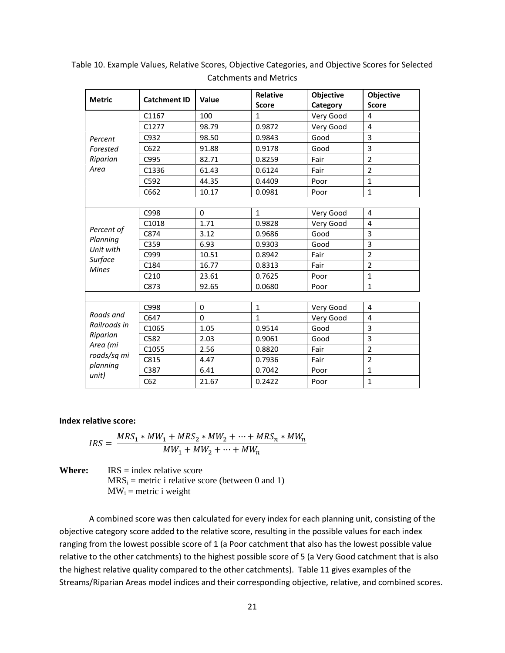| <b>Metric</b>         | <b>Catchment ID</b> | Value       | <b>Relative</b><br><b>Score</b> | Objective<br>Category | Objective<br><b>Score</b> |
|-----------------------|---------------------|-------------|---------------------------------|-----------------------|---------------------------|
|                       | C1167               | 100         | $\mathbf{1}$                    | Very Good             | 4                         |
|                       | C1277               | 98.79       | 0.9872                          | Very Good             | 4                         |
| Percent               | C932                | 98.50       | 0.9843                          | Good                  | 3                         |
| Forested              | C622                | 91.88       | 0.9178                          | Good                  | 3                         |
| Riparian              | C995                | 82.71       | 0.8259                          | Fair                  | $\overline{2}$            |
| Area                  | C1336               | 61.43       | 0.6124                          | Fair                  | $\overline{2}$            |
|                       | C592                | 44.35       | 0.4409                          | Poor                  | $\mathbf{1}$              |
|                       | C662                | 10.17       | 0.0981                          | Poor                  | $\mathbf{1}$              |
|                       |                     |             |                                 |                       |                           |
|                       | C998                | $\mathbf 0$ | $\mathbf{1}$                    | Very Good             | $\overline{4}$            |
|                       | C1018               | 1.71        | 0.9828                          | Very Good             | $\overline{4}$            |
| Percent of            | C874                | 3.12        | 0.9686                          | Good                  | 3                         |
| Planning<br>Unit with | C359                | 6.93        | 0.9303                          | Good                  | $\overline{\mathbf{3}}$   |
| Surface               | C999                | 10.51       | 0.8942                          | Fair                  | $\overline{2}$            |
| <b>Mines</b>          | C184                | 16.77       | 0.8313                          | Fair                  | $\overline{2}$            |
|                       | C210                | 23.61       | 0.7625                          | Poor                  | $\mathbf{1}$              |
|                       | C873                | 92.65       | 0.0680                          | Poor                  | $\mathbf{1}$              |
|                       |                     |             |                                 |                       |                           |
|                       | C998                | $\mathbf 0$ | $\mathbf{1}$                    | Very Good             | $\overline{4}$            |
| Roads and             | C647                | $\mathbf 0$ | $\mathbf{1}$                    | Very Good             | $\overline{4}$            |
| Railroads in          | C1065               | 1.05        | 0.9514                          | Good                  | 3                         |
| Riparian              | C582                | 2.03        | 0.9061                          | Good                  | 3                         |
| Area (mi              | C1055               | 2.56        | 0.8820                          | Fair                  | $\overline{2}$            |
| roads/sq mi           | C815                | 4.47        | 0.7936                          | Fair                  | $\overline{2}$            |
| planning<br>unit)     | C387                | 6.41        | 0.7042                          | Poor                  | $\mathbf{1}$              |
|                       | C62                 | 21.67       | 0.2422                          | Poor                  | $\mathbf{1}$              |

Table 10. Example Values, Relative Scores, Objective Categories, and Objective Scores for Selected Catchments and Metrics

## **Index relative score:**

$$
IRS = \frac{MRS_1 * MW_1 + MRS_2 * MW_2 + \dots + MRS_n * MW_n}{MW_1 + MW_2 + \dots + MW_n}
$$

**Where:**  $IRS = index$  relative score

 $MRS_i$  = metric i relative score (between 0 and 1)  $MW_i$  = metric i weight

A combined score was then calculated for every index for each planning unit, consisting of the objective category score added to the relative score, resulting in the possible values for each index ranging from the lowest possible score of 1 (a Poor catchment that also has the lowest possible value relative to the other catchments) to the highest possible score of 5 (a Very Good catchment that is also the highest relative quality compared to the other catchments). Table 11 gives examples of the Streams/Riparian Areas model indices and their corresponding objective, relative, and combined scores.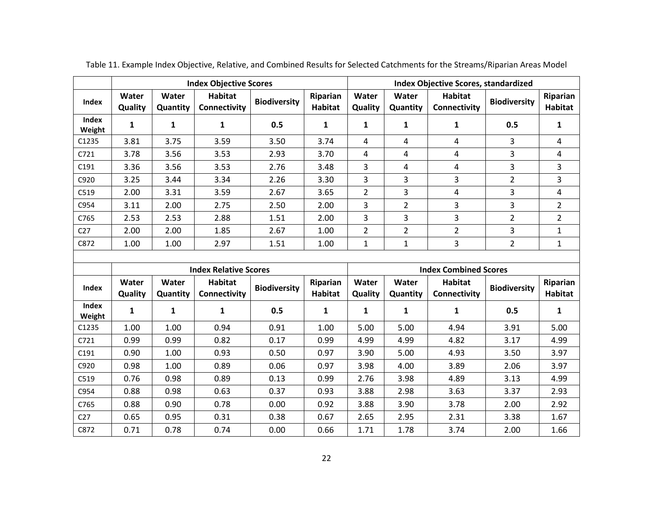|                 | <b>Index Objective Scores</b> |                   |                                |                     |                            |                  |                          | <b>Index Objective Scores, standardized</b> |                     |                     |
|-----------------|-------------------------------|-------------------|--------------------------------|---------------------|----------------------------|------------------|--------------------------|---------------------------------------------|---------------------|---------------------|
| Index           | Water<br>Quality              | Water<br>Quantity | Habitat<br><b>Connectivity</b> | <b>Biodiversity</b> | Riparian<br>Habitat        | Water<br>Quality | Water<br><b>Quantity</b> | Habitat<br>Connectivity                     | <b>Biodiversity</b> | Riparian<br>Habitat |
| Index<br>Weight | 1                             | 1                 | 1                              | 0.5                 | 1                          | 1                | 1                        | 1                                           | 0.5                 | 1                   |
| C1235           | 3.81                          | 3.75              | 3.59                           | 3.50                | 3.74                       | 4                | 4                        | 4                                           | 3                   | 4                   |
| C721            | 3.78                          | 3.56              | 3.53                           | 2.93                | 3.70                       | 4                | 4                        | 4                                           | 3                   | 4                   |
| C191            | 3.36                          | 3.56              | 3.53                           | 2.76                | 3.48                       | 3                | 4                        | 4                                           | 3                   | 3                   |
| C920            | 3.25                          | 3.44              | 3.34                           | 2.26                | 3.30                       | 3                | 3                        | 3                                           | $\overline{2}$      | 3                   |
| C519            | 2.00                          | 3.31              | 3.59                           | 2.67                | 3.65                       | $\overline{2}$   | 3                        | 4                                           | 3                   | 4                   |
| C954            | 3.11                          | 2.00              | 2.75                           | 2.50                | 2.00                       | 3                | 2                        | 3                                           | $\overline{3}$      | $\overline{2}$      |
| C765            | 2.53                          | 2.53              | 2.88                           | 1.51                | 2.00                       | 3                | 3                        | 3                                           | $\overline{2}$      | $\overline{2}$      |
| C <sub>27</sub> | 2.00                          | 2.00              | 1.85                           | 2.67                | 1.00                       | $\overline{2}$   | 2                        | $\overline{2}$                              | 3                   | 1                   |
| C872            | 1.00                          | 1.00              | 2.97                           | 1.51                | 1.00                       | 1                | 1                        | 3                                           | $\overline{2}$      | 1                   |
|                 |                               |                   |                                |                     |                            |                  |                          |                                             |                     |                     |
|                 |                               |                   | <b>Index Relative Scores</b>   |                     |                            |                  |                          | <b>Index Combined Scores</b>                |                     |                     |
| <b>Index</b>    | Water<br>Quality              | Water<br>Quantity | Habitat<br><b>Connectivity</b> | <b>Biodiversity</b> | Riparian<br><b>Habitat</b> | Water<br>Quality | Water<br><b>Quantity</b> | Habitat<br>Connectivity                     | <b>Biodiversity</b> | Riparian<br>Habitat |
| Index           | $\mathbf{A}$                  | $\mathbf{A}$      | $\mathbf{A}$                   | $\sim$ $\sim$       | $\blacksquare$             | $\blacksquare$   | $\sim$                   | $\blacksquare$                              | $\sim$ $\sim$       | $\mathbf{A}$        |

Table 11. Example Index Objective, Relative, and Combined Results for Selected Catchments for the Streams/Riparian Areas Model

|                  | <b>Index Relative Scores</b> |                   |                                |                     |                            |                  | <b>Index Combined Scores</b> |                         |                     |                            |  |
|------------------|------------------------------|-------------------|--------------------------------|---------------------|----------------------------|------------------|------------------------------|-------------------------|---------------------|----------------------------|--|
| Index            | Water<br>Quality             | Water<br>Quantity | <b>Habitat</b><br>Connectivity | <b>Biodiversity</b> | Riparian<br><b>Habitat</b> | Water<br>Quality | Water<br><b>Quantity</b>     | Habitat<br>Connectivity | <b>Biodiversity</b> | Riparian<br><b>Habitat</b> |  |
| Index<br>Weight  | 1                            | 1                 | 1                              | 0.5                 | 1                          | 1                | 1                            | 1                       | 0.5                 | 1                          |  |
| C1235            | 1.00                         | 1.00              | 0.94                           | 0.91                | 1.00                       | 5.00             | 5.00                         | 4.94                    | 3.91                | 5.00                       |  |
| C721             | 0.99                         | 0.99              | 0.82                           | 0.17                | 0.99                       | 4.99             | 4.99                         | 4.82                    | 3.17                | 4.99                       |  |
| C <sub>191</sub> | 0.90                         | 1.00              | 0.93                           | 0.50                | 0.97                       | 3.90             | 5.00                         | 4.93                    | 3.50                | 3.97                       |  |
| C920             | 0.98                         | 1.00              | 0.89                           | 0.06                | 0.97                       | 3.98             | 4.00                         | 3.89                    | 2.06                | 3.97                       |  |
| C519             | 0.76                         | 0.98              | 0.89                           | 0.13                | 0.99                       | 2.76             | 3.98                         | 4.89                    | 3.13                | 4.99                       |  |
| C954             | 0.88                         | 0.98              | 0.63                           | 0.37                | 0.93                       | 3.88             | 2.98                         | 3.63                    | 3.37                | 2.93                       |  |
| C765             | 0.88                         | 0.90              | 0.78                           | 0.00                | 0.92                       | 3.88             | 3.90                         | 3.78                    | 2.00                | 2.92                       |  |
| C <sub>27</sub>  | 0.65                         | 0.95              | 0.31                           | 0.38                | 0.67                       | 2.65             | 2.95                         | 2.31                    | 3.38                | 1.67                       |  |
| C872             | 0.71                         | 0.78              | 0.74                           | 0.00                | 0.66                       | 1.71             | 1.78                         | 3.74                    | 2.00                | 1.66                       |  |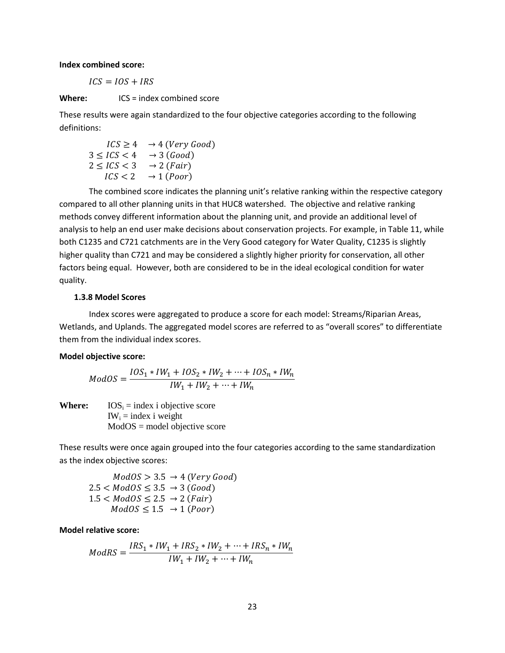#### **Index combined score:**

 $ICS = IOS + IRS$ 

**Where:** ICS = index combined score

These results were again standardized to the four objective categories according to the following definitions:

 $ICS \geq 4 \rightarrow 4$  (*Very Good*)  $3 \leq ICS < 4 \rightarrow 3 (Good)$  $2 \leq ICS < 3 \rightarrow 2$  (*Fair*)  $ICS < 2 \rightarrow 1 (Poor)$ 

The combined score indicates the planning unit's relative ranking within the respective category compared to all other planning units in that HUC8 watershed. The objective and relative ranking methods convey different information about the planning unit, and provide an additional level of analysis to help an end user make decisions about conservation projects. For example, in Table 11, while both C1235 and C721 catchments are in the Very Good category for Water Quality, C1235 is slightly higher quality than C721 and may be considered a slightly higher priority for conservation, all other factors being equal. However, both are considered to be in the ideal ecological condition for water quality.

## **1.3.8 Model Scores**

Index scores were aggregated to produce a score for each model: Streams/Riparian Areas, Wetlands, and Uplands. The aggregated model scores are referred to as "overall scores" to differentiate them from the individual index scores.

#### **Model objective score:**

$$
ModOS = \frac{IOS_1 * IW_1 + IOS_2 * IW_2 + \dots + IOS_n * IW_n}{IW_1 + IW_2 + \dots + IW_n}
$$

**Where:**  $\text{IOS}_i = \text{index } i \text{ objective score}$  $IW_i = index$  i weight  $ModOS = model$  objective score

These results were once again grouped into the four categories according to the same standardization as the index objective scores:

 $ModOS > 3.5 \rightarrow 4$  (*Very Good*)  $2.5 < ModOS \leq 3.5 \rightarrow 3 (Good)$  $1.5 ModOS \leq 2.5 \rightarrow 2$  (*Fair*)  $ModOS \leq 1.5 \rightarrow 1 (Poor)$ 

**Model relative score:**

$$
ModRS = \frac{IRS_1 * IW_1 + IRS_2 * IW_2 + \dots + IRS_n * IW_n}{IW_1 + IW_2 + \dots + IW_n}
$$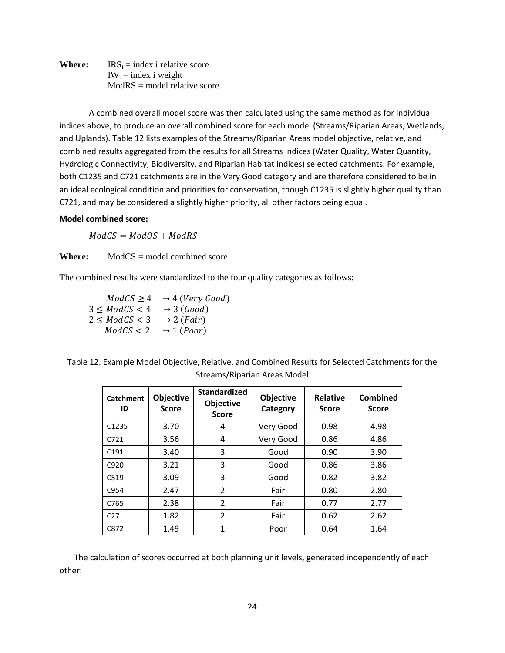**Where:**  $\text{IRS}_i = \text{index } i \text{ relative score}$  $IW_i = index$  i weight  $ModRS = model$  relative score

A combined overall model score was then calculated using the same method as for individual indices above, to produce an overall combined score for each model (Streams/Riparian Areas, Wetlands, and Uplands). Table 12 lists examples of the Streams/Riparian Areas model objective, relative, and combined results aggregated from the results for all Streams indices (Water Quality, Water Quantity, Hydrologic Connectivity, Biodiversity, and Riparian Habitat indices) selected catchments. For example, both C1235 and C721 catchments are in the Very Good category and are therefore considered to be in an ideal ecological condition and priorities for conservation, though C1235 is slightly higher quality than C721, and may be considered a slightly higher priority, all other factors being equal.

## **Model combined score:**

 $ModCS = ModOS + ModRS$ 

**Where:** ModCS = model combined score

The combined results were standardized to the four quality categories as follows:

 $ModCS \geq 4 \rightarrow 4$  (*Very Good*)  $3 \leq ModCS < 4 \rightarrow 3 (Good)$  $2 \leq ModCS < 3 \rightarrow 2$  (Fair)  $ModCS < 2 \rightarrow 1 (Poor)$ 

| Catchment<br>ID   | Objective<br><b>Score</b> | <b>Standardized</b><br><b>Objective</b><br><b>Score</b> | Objective<br>Category | <b>Relative</b><br><b>Score</b> | Combined<br><b>Score</b> |
|-------------------|---------------------------|---------------------------------------------------------|-----------------------|---------------------------------|--------------------------|
| C <sub>1235</sub> | 3.70                      | 4                                                       | Very Good             | 0.98                            | 4.98                     |
| C721              | 3.56                      | 4                                                       | Very Good             | 0.86                            | 4.86                     |
| C <sub>191</sub>  | 3.40                      | 3                                                       | Good                  | 0.90                            | 3.90                     |
| C <sub>920</sub>  | 3.21                      | 3                                                       | Good                  | 0.86                            | 3.86                     |
| C <sub>519</sub>  | 3.09                      | 3                                                       | Good                  | 0.82                            | 3.82                     |
| C954              | 2.47                      | 2                                                       | Fair                  | 0.80                            | 2.80                     |
| C765              | 2.38                      | $\overline{2}$                                          | Fair                  | 0.77                            | 2.77                     |
| C <sub>27</sub>   | 1.82                      | $\overline{2}$                                          | Fair                  | 0.62                            | 2.62                     |
| C872              | 1.49                      | 1                                                       | Poor                  | 0.64                            | 1.64                     |

Table 12. Example Model Objective, Relative, and Combined Results for Selected Catchments for the Streams/Riparian Areas Model

The calculation of scores occurred at both planning unit levels, generated independently of each other: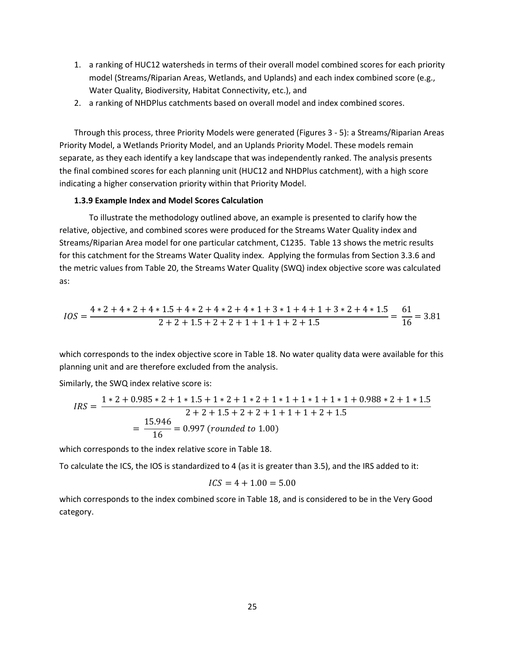- 1. a ranking of HUC12 watersheds in terms of their overall model combined scores for each priority model (Streams/Riparian Areas, Wetlands, and Uplands) and each index combined score (e.g., Water Quality, Biodiversity, Habitat Connectivity, etc.), and
- 2. a ranking of NHDPlus catchments based on overall model and index combined scores.

Through this process, three Priority Models were generated (Figures 3 - 5): a Streams/Riparian Areas Priority Model, a Wetlands Priority Model, and an Uplands Priority Model. These models remain separate, as they each identify a key landscape that was independently ranked. The analysis presents the final combined scores for each planning unit (HUC12 and NHDPlus catchment), with a high score indicating a higher conservation priority within that Priority Model.

## **1.3.9 Example Index and Model Scores Calculation**

To illustrate the methodology outlined above, an example is presented to clarify how the relative, objective, and combined scores were produced for the Streams Water Quality index and Streams/Riparian Area model for one particular catchment, C1235. Table 13 shows the metric results for this catchment for the Streams Water Quality index. Applying the formulas from Section 3.3.6 and the metric values from Table 20, the Streams Water Quality (SWQ) index objective score was calculated as:

$$
IOS = \frac{4 * 2 + 4 * 2 + 4 * 1.5 + 4 * 2 + 4 * 2 + 4 * 1 + 3 * 1 + 4 + 1 + 3 * 2 + 4 * 1.5}{2 + 2 + 1.5 + 2 + 2 + 1 + 1 + 1 + 2 + 1.5} = \frac{61}{16} = 3.81
$$

which corresponds to the index objective score in Table 18. No water quality data were available for this planning unit and are therefore excluded from the analysis.

Similarly, the SWQ index relative score is:

$$
IRS = \frac{1*2+0.985*2+1*1.5+1*2+1*2+1*1+1*1+1*1+0.988*2+1*1.5}{2+2+1.5+2+2+1+1+1+2+1.5}
$$

$$
= \frac{15.946}{16} = 0.997 \text{ (rounded to 1.00)}
$$

which corresponds to the index relative score in Table 18.

To calculate the ICS, the IOS is standardized to 4 (as it is greater than 3.5), and the IRS added to it:

$$
ICS = 4 + 1.00 = 5.00
$$

which corresponds to the index combined score in Table 18, and is considered to be in the Very Good category.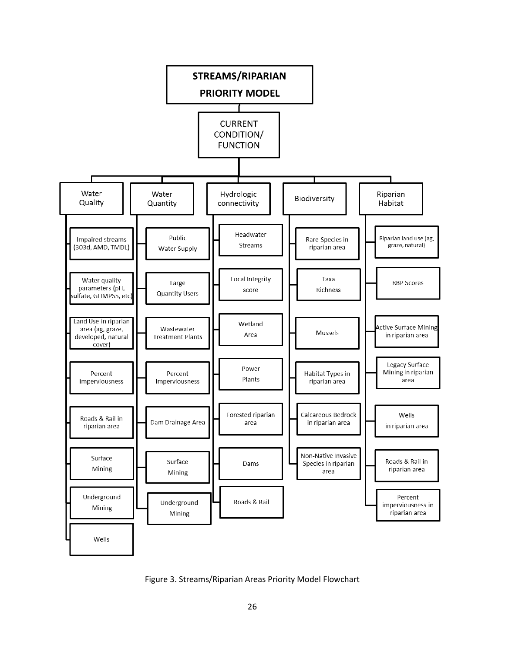

Figure 3. Streams/Riparian Areas Priority Model Flowchart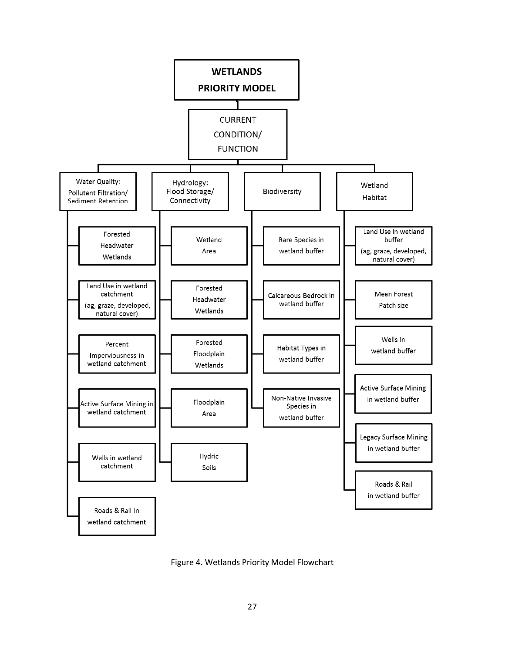

Figure 4. Wetlands Priority Model Flowchart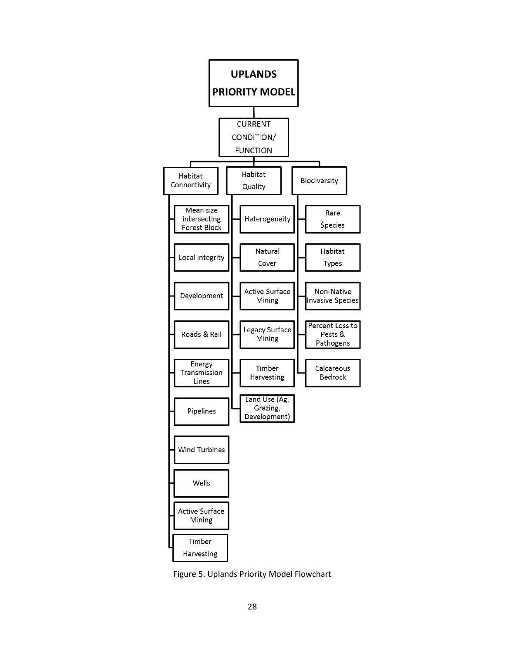

Figure 5. Uplands Priority Model Flowchart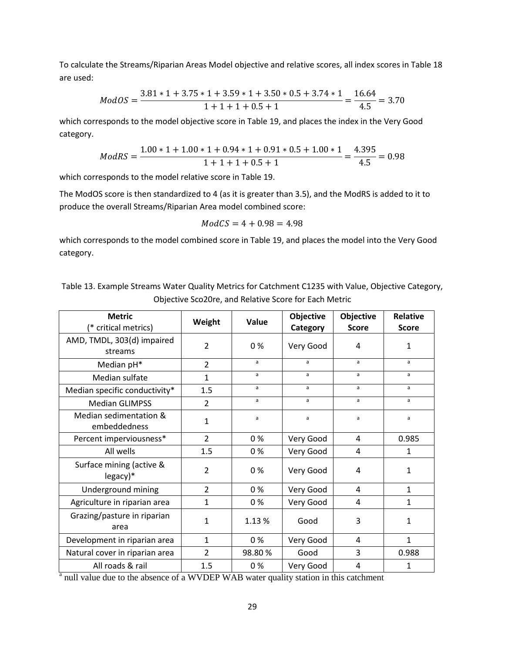To calculate the Streams/Riparian Areas Model objective and relative scores, all index scores in Table 18 are used:

$$
ModOS = \frac{3.81 \times 1 + 3.75 \times 1 + 3.59 \times 1 + 3.50 \times 0.5 + 3.74 \times 1}{1 + 1 + 1 + 0.5 + 1} = \frac{16.64}{4.5} = 3.70
$$

which corresponds to the model objective score in Table 19, and places the index in the Very Good category.

$$
ModRS = \frac{1.00 * 1 + 1.00 * 1 + 0.94 * 1 + 0.91 * 0.5 + 1.00 * 1}{1 + 1 + 1 + 0.5 + 1} = \frac{4.395}{4.5} = 0.98
$$

which corresponds to the model relative score in Table 19.

The ModOS score is then standardized to 4 (as it is greater than 3.5), and the ModRS is added to it to produce the overall Streams/Riparian Area model combined score:

$$
ModCS = 4 + 0.98 = 4.98
$$

which corresponds to the model combined score in Table 19, and places the model into the Very Good category.

| Table 13. Example Streams Water Quality Metrics for Catchment C1235 with Value, Objective Category, |
|-----------------------------------------------------------------------------------------------------|
| Objective Sco20re, and Relative Score for Each Metric                                               |

| <b>Metric</b>                          | Weight         | Value  | Objective | Objective    | <b>Relative</b> |
|----------------------------------------|----------------|--------|-----------|--------------|-----------------|
| (* critical metrics)                   |                |        | Category  | <b>Score</b> | <b>Score</b>    |
| AMD, TMDL, 303(d) impaired<br>streams  | $\overline{2}$ | $0\%$  | Very Good | 4            | 1               |
| Median pH*                             | $\overline{2}$ | a      | a         | a            | a               |
| Median sulfate                         | $\mathbf{1}$   | a      | a         | a            | a               |
| Median specific conductivity*          | 1.5            | a      | a         | a            | a               |
| <b>Median GLIMPSS</b>                  | $\overline{2}$ | a      | a         | a            | a               |
| Median sedimentation &<br>embeddedness | $\mathbf{1}$   | a      | a         | a            | a               |
| Percent imperviousness*                | $\overline{2}$ | 0%     | Very Good | 4            | 0.985           |
| All wells                              | 1.5            | 0%     | Very Good | 4            | 1               |
| Surface mining (active &<br>legacy)*   | $\overline{2}$ | 0%     | Very Good | 4            | 1               |
| Underground mining                     | $\overline{2}$ | 0%     | Very Good | 4            | $\mathbf{1}$    |
| Agriculture in riparian area           | 1              | 0%     | Very Good | 4            | $\mathbf{1}$    |
| Grazing/pasture in riparian<br>area    | $\mathbf{1}$   | 1.13%  | Good      | 3            | $\mathbf{1}$    |
| Development in riparian area           | $\mathbf{1}$   | 0 %    | Very Good | 4            | $\mathbf{1}$    |
| Natural cover in riparian area         | $\overline{2}$ | 98.80% | Good      | 3            | 0.988           |
| All roads & rail                       | 1.5            | 0%     | Very Good | 4            | 1               |

<sup>a</sup> null value due to the absence of a WVDEP WAB water quality station in this catchment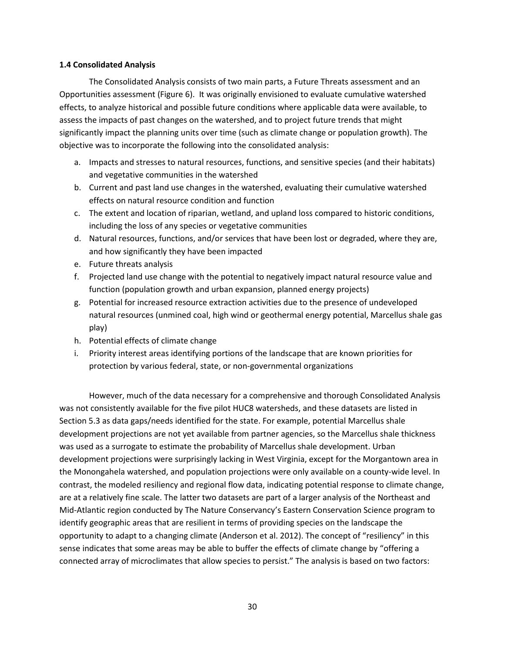## **1.4 Consolidated Analysis**

The Consolidated Analysis consists of two main parts, a Future Threats assessment and an Opportunities assessment (Figure 6). It was originally envisioned to evaluate cumulative watershed effects, to analyze historical and possible future conditions where applicable data were available, to assess the impacts of past changes on the watershed, and to project future trends that might significantly impact the planning units over time (such as climate change or population growth). The objective was to incorporate the following into the consolidated analysis:

- a. Impacts and stresses to natural resources, functions, and sensitive species (and their habitats) and vegetative communities in the watershed
- b. Current and past land use changes in the watershed, evaluating their cumulative watershed effects on natural resource condition and function
- c. The extent and location of riparian, wetland, and upland loss compared to historic conditions, including the loss of any species or vegetative communities
- d. Natural resources, functions, and/or services that have been lost or degraded, where they are, and how significantly they have been impacted
- e. Future threats analysis
- f. Projected land use change with the potential to negatively impact natural resource value and function (population growth and urban expansion, planned energy projects)
- g. Potential for increased resource extraction activities due to the presence of undeveloped natural resources (unmined coal, high wind or geothermal energy potential, Marcellus shale gas play)
- h. Potential effects of climate change
- i. Priority interest areas identifying portions of the landscape that are known priorities for protection by various federal, state, or non-governmental organizations

However, much of the data necessary for a comprehensive and thorough Consolidated Analysis was not consistently available for the five pilot HUC8 watersheds, and these datasets are listed in Section 5.3 as data gaps/needs identified for the state. For example, potential Marcellus shale development projections are not yet available from partner agencies, so the Marcellus shale thickness was used as a surrogate to estimate the probability of Marcellus shale development. Urban development projections were surprisingly lacking in West Virginia, except for the Morgantown area in the Monongahela watershed, and population projections were only available on a county-wide level. In contrast, the modeled resiliency and regional flow data, indicating potential response to climate change, are at a relatively fine scale. The latter two datasets are part of a larger analysis of the Northeast and Mid-Atlantic region conducted by The Nature Conservancy's Eastern Conservation Science program to identify geographic areas that are resilient in terms of providing species on the landscape the opportunity to adapt to a changing climate (Anderson et al. 2012). The concept of "resiliency" in this sense indicates that some areas may be able to buffer the effects of climate change by "offering a connected array of microclimates that allow species to persist." The analysis is based on two factors: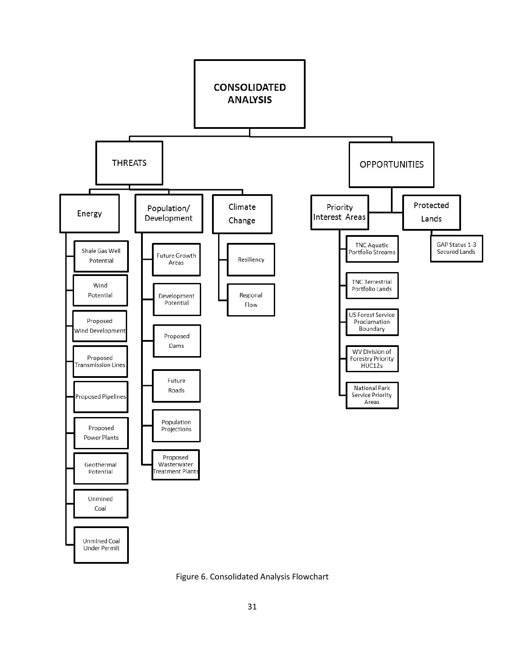

Figure 6. Consolidated Analysis Flowchart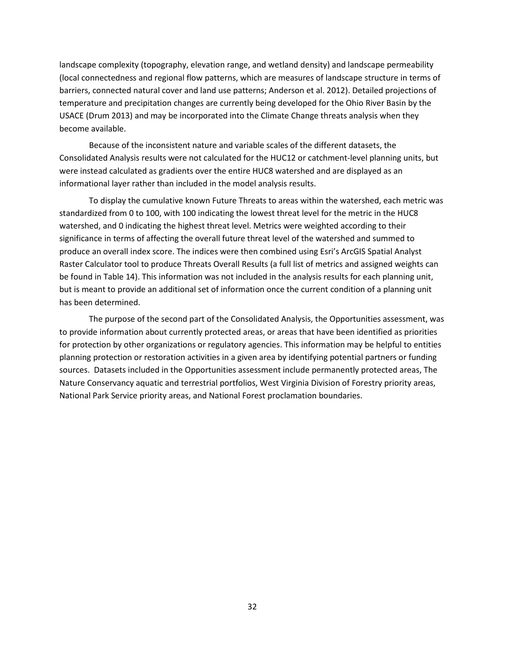landscape complexity (topography, elevation range, and wetland density) and landscape permeability (local connectedness and regional flow patterns, which are measures of landscape structure in terms of barriers, connected natural cover and land use patterns; Anderson et al. 2012). Detailed projections of temperature and precipitation changes are currently being developed for the Ohio River Basin by the USACE (Drum 2013) and may be incorporated into the Climate Change threats analysis when they become available.

Because of the inconsistent nature and variable scales of the different datasets, the Consolidated Analysis results were not calculated for the HUC12 or catchment-level planning units, but were instead calculated as gradients over the entire HUC8 watershed and are displayed as an informational layer rather than included in the model analysis results.

To display the cumulative known Future Threats to areas within the watershed, each metric was standardized from 0 to 100, with 100 indicating the lowest threat level for the metric in the HUC8 watershed, and 0 indicating the highest threat level. Metrics were weighted according to their significance in terms of affecting the overall future threat level of the watershed and summed to produce an overall index score. The indices were then combined using Esri's ArcGIS Spatial Analyst Raster Calculator tool to produce Threats Overall Results (a full list of metrics and assigned weights can be found in Table 14). This information was not included in the analysis results for each planning unit, but is meant to provide an additional set of information once the current condition of a planning unit has been determined.

The purpose of the second part of the Consolidated Analysis, the Opportunities assessment, was to provide information about currently protected areas, or areas that have been identified as priorities for protection by other organizations or regulatory agencies. This information may be helpful to entities planning protection or restoration activities in a given area by identifying potential partners or funding sources. Datasets included in the Opportunities assessment include permanently protected areas, The Nature Conservancy aquatic and terrestrial portfolios, West Virginia Division of Forestry priority areas, National Park Service priority areas, and National Forest proclamation boundaries.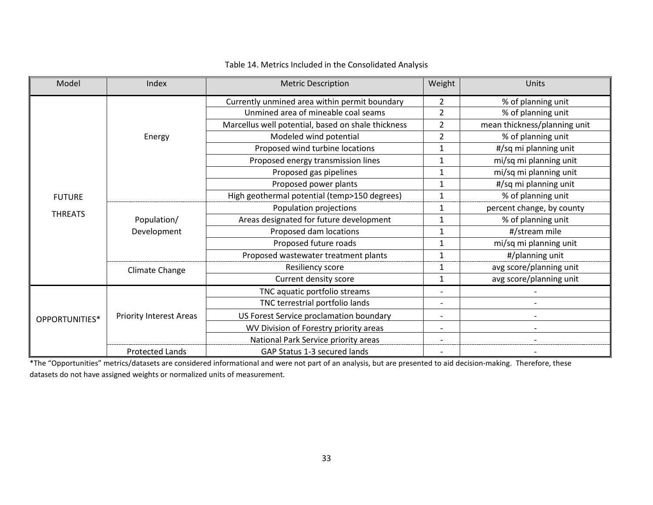| Model          | Index                                                  | <b>Metric Description</b>                          |                | Units                        |
|----------------|--------------------------------------------------------|----------------------------------------------------|----------------|------------------------------|
|                |                                                        | Currently unmined area within permit boundary      | $\overline{2}$ | % of planning unit           |
|                |                                                        | Unmined area of mineable coal seams                | $\overline{2}$ | % of planning unit           |
|                |                                                        | Marcellus well potential, based on shale thickness | $\overline{2}$ | mean thickness/planning unit |
|                | Energy                                                 | Modeled wind potential                             | 2              | % of planning unit           |
|                |                                                        | Proposed wind turbine locations                    | 1              | #/sq mi planning unit        |
|                |                                                        | Proposed energy transmission lines                 | 1              | mi/sq mi planning unit       |
|                |                                                        | Proposed gas pipelines                             | 1              | mi/sq mi planning unit       |
|                |                                                        | Proposed power plants                              | 1              | #/sq mi planning unit        |
| <b>FUTURE</b>  |                                                        | High geothermal potential (temp>150 degrees)       | $\mathbf{1}$   | % of planning unit           |
|                | Population/<br>Development                             | Population projections                             | 1              | percent change, by county    |
| <b>THREATS</b> |                                                        | Areas designated for future development            | $\mathbf{1}$   | % of planning unit           |
|                |                                                        | Proposed dam locations                             | 1              | #/stream mile                |
|                |                                                        | Proposed future roads                              | 1              | mi/sq mi planning unit       |
|                |                                                        | Proposed wastewater treatment plants               | $\mathbf 1$    | #/planning unit              |
|                | Climate Change                                         | Resiliency score                                   | 1              | avg score/planning unit      |
|                |                                                        | Current density score                              | $\mathbf{1}$   | avg score/planning unit      |
|                |                                                        | TNC aquatic portfolio streams                      |                |                              |
|                |                                                        | TNC terrestrial portfolio lands                    |                |                              |
| OPPORTUNITIES* | <b>Priority Interest Areas</b>                         | US Forest Service proclamation boundary            |                |                              |
|                |                                                        | WV Division of Forestry priority areas             |                |                              |
|                |                                                        | National Park Service priority areas               |                |                              |
|                | GAP Status 1-3 secured lands<br><b>Protected Lands</b> |                                                    |                |                              |

## Table 14. Metrics Included in the Consolidated Analysis

\*The "Opportunities" metrics/datasets are considered informational and were not part of an analysis, but are presented to aid decision-making. Therefore, these datasets do not have assigned weights or normalized units of measurement.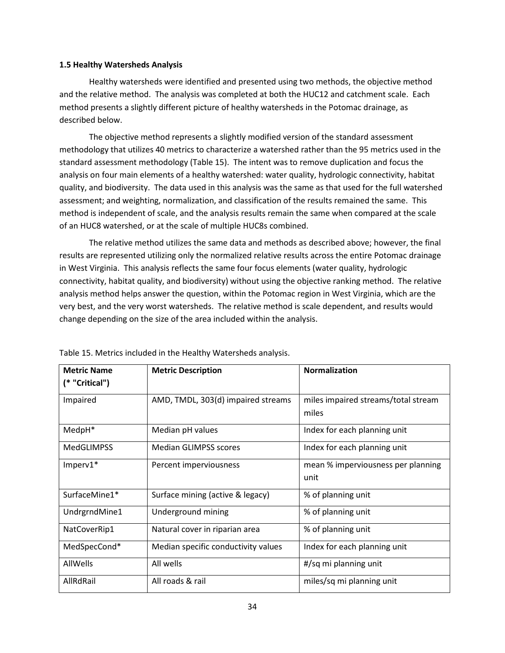## **1.5 Healthy Watersheds Analysis**

Healthy watersheds were identified and presented using two methods, the objective method and the relative method. The analysis was completed at both the HUC12 and catchment scale. Each method presents a slightly different picture of healthy watersheds in the Potomac drainage, as described below.

The objective method represents a slightly modified version of the standard assessment methodology that utilizes 40 metrics to characterize a watershed rather than the 95 metrics used in the standard assessment methodology (Table 15). The intent was to remove duplication and focus the analysis on four main elements of a healthy watershed: water quality, hydrologic connectivity, habitat quality, and biodiversity. The data used in this analysis was the same as that used for the full watershed assessment; and weighting, normalization, and classification of the results remained the same. This method is independent of scale, and the analysis results remain the same when compared at the scale of an HUC8 watershed, or at the scale of multiple HUC8s combined.

The relative method utilizes the same data and methods as described above; however, the final results are represented utilizing only the normalized relative results across the entire Potomac drainage in West Virginia. This analysis reflects the same four focus elements (water quality, hydrologic connectivity, habitat quality, and biodiversity) without using the objective ranking method. The relative analysis method helps answer the question, within the Potomac region in West Virginia, which are the very best, and the very worst watersheds. The relative method is scale dependent, and results would change depending on the size of the area included within the analysis.

| <b>Metric Name</b><br>(* "Critical") | <b>Metric Description</b>           | <b>Normalization</b>                         |
|--------------------------------------|-------------------------------------|----------------------------------------------|
| Impaired                             | AMD, TMDL, 303(d) impaired streams  | miles impaired streams/total stream<br>miles |
| MedpH*                               | Median pH values                    | Index for each planning unit                 |
| <b>MedGLIMPSS</b>                    | Median GLIMPSS scores               | Index for each planning unit                 |
| $Imperv1*$                           | Percent imperviousness              | mean % imperviousness per planning<br>unit   |
| SurfaceMine1*                        | Surface mining (active & legacy)    | % of planning unit                           |
| UndrgrndMine1                        | Underground mining                  | % of planning unit                           |
| NatCoverRip1                         | Natural cover in riparian area      | % of planning unit                           |
| MedSpecCond*                         | Median specific conductivity values | Index for each planning unit                 |
| <b>AllWells</b>                      | All wells                           | #/sq mi planning unit                        |
| AllRdRail                            | All roads & rail                    | miles/sq mi planning unit                    |

Table 15. Metrics included in the Healthy Watersheds analysis.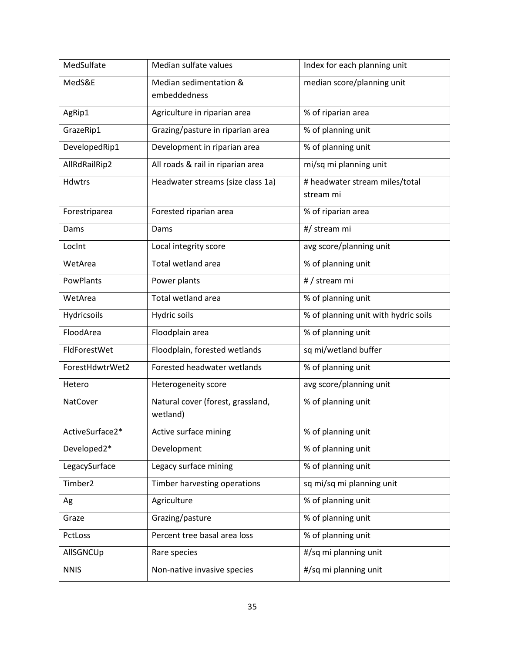| MedSulfate       | Median sulfate values                         | Index for each planning unit                |
|------------------|-----------------------------------------------|---------------------------------------------|
| MedS&E           | Median sedimentation &<br>embeddedness        | median score/planning unit                  |
| AgRip1           | Agriculture in riparian area                  | % of riparian area                          |
| GrazeRip1        | Grazing/pasture in riparian area              | % of planning unit                          |
| DevelopedRip1    | Development in riparian area                  | % of planning unit                          |
| AllRdRailRip2    | All roads & rail in riparian area             | mi/sq mi planning unit                      |
| <b>Hdwtrs</b>    | Headwater streams (size class 1a)             | # headwater stream miles/total<br>stream mi |
| Forestriparea    | Forested riparian area                        | % of riparian area                          |
| Dams             | Dams                                          | #/ stream mi                                |
| LocInt           | Local integrity score                         | avg score/planning unit                     |
| WetArea          | Total wetland area                            | % of planning unit                          |
| <b>PowPlants</b> | Power plants                                  | # / stream mi                               |
| WetArea          | Total wetland area                            | % of planning unit                          |
| Hydricsoils      | Hydric soils                                  | % of planning unit with hydric soils        |
| FloodArea        | Floodplain area                               | % of planning unit                          |
| FldForestWet     | Floodplain, forested wetlands                 | sq mi/wetland buffer                        |
| ForestHdwtrWet2  | Forested headwater wetlands                   | % of planning unit                          |
| Hetero           | Heterogeneity score                           | avg score/planning unit                     |
| NatCover         | Natural cover (forest, grassland,<br>wetland) | % of planning unit                          |
| ActiveSurface2*  | Active surface mining                         | % of planning unit                          |
| Developed2*      | Development                                   | % of planning unit                          |
| LegacySurface    | Legacy surface mining                         | % of planning unit                          |
| Timber2          | Timber harvesting operations                  | sq mi/sq mi planning unit                   |
| Ag               | Agriculture                                   | % of planning unit                          |
| Graze            | Grazing/pasture                               | % of planning unit                          |
| PctLoss          | Percent tree basal area loss                  | % of planning unit                          |
| AllSGNCUp        | Rare species                                  | #/sq mi planning unit                       |
| <b>NNIS</b>      | Non-native invasive species                   | #/sq mi planning unit                       |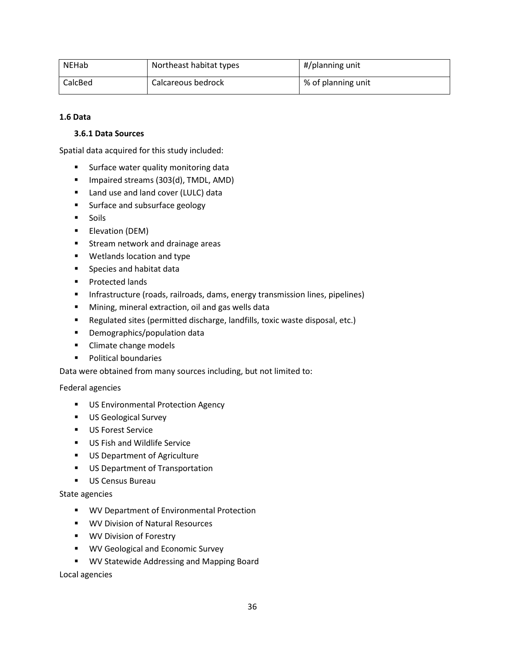| NEHab   | Northeast habitat types | #/planning unit    |
|---------|-------------------------|--------------------|
| CalcBed | Calcareous bedrock      | % of planning unit |

## **1.6 Data**

## **3.6.1 Data Sources**

Spatial data acquired for this study included:

- **Surface water quality monitoring data**
- **IDED** Impaired streams (303(d), TMDL, AMD)
- Land use and land cover (LULC) data
- **Surface and subsurface geology**
- **Soils**
- **Elevation (DEM)**
- **EXEC** Stream network and drainage areas
- **Wetlands location and type**
- **Species and habitat data**
- **Protected lands**
- **Infrastructure (roads, railroads, dams, energy transmission lines, pipelines)**
- **Mining, mineral extraction, oil and gas wells data**
- Regulated sites (permitted discharge, landfills, toxic waste disposal, etc.)
- **•** Demographics/population data
- **Climate change models**
- **Political boundaries**

Data were obtained from many sources including, but not limited to:

Federal agencies

- **US Environmental Protection Agency**
- **US Geological Survey**
- **US Forest Service**
- **US Fish and Wildlife Service**
- **US Department of Agriculture**
- **US Department of Transportation**
- **US Census Bureau**

## State agencies

- WV Department of Environmental Protection
- **WV Division of Natural Resources**
- **WV Division of Forestry**
- **WV Geological and Economic Survey**
- **WV Statewide Addressing and Mapping Board**

Local agencies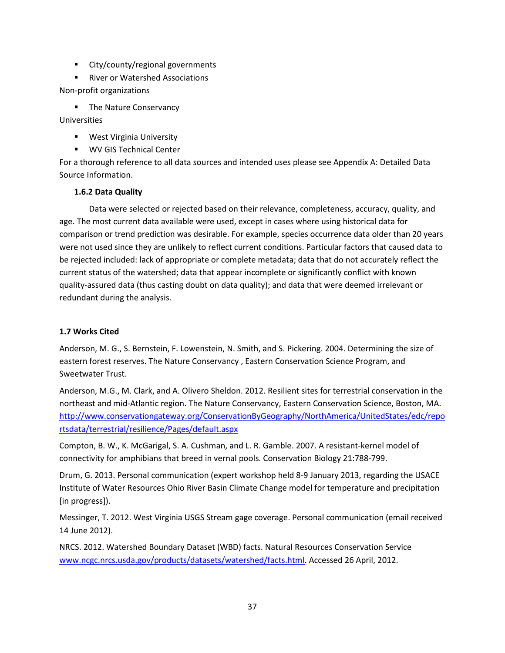- City/county/regional governments
- **River or Watershed Associations**

Non-profit organizations

**The Nature Conservancy** 

Universities

- **West Virginia University**
- **WV GIS Technical Center**

For a thorough reference to all data sources and intended uses please see Appendix A: Detailed Data Source Information.

## **1.6.2 Data Quality**

Data were selected or rejected based on their relevance, completeness, accuracy, quality, and age. The most current data available were used, except in cases where using historical data for comparison or trend prediction was desirable. For example, species occurrence data older than 20 years were not used since they are unlikely to reflect current conditions. Particular factors that caused data to be rejected included: lack of appropriate or complete metadata; data that do not accurately reflect the current status of the watershed; data that appear incomplete or significantly conflict with known quality-assured data (thus casting doubt on data quality); and data that were deemed irrelevant or redundant during the analysis.

## **1.7 Works Cited**

Anderson, M. G., S. Bernstein, F. Lowenstein, N. Smith, and S. Pickering. 2004. Determining the size of eastern forest reserves. The Nature Conservancy , Eastern Conservation Science Program, and Sweetwater Trust.

Anderson, M.G., M. Clark, and A. Olivero Sheldon. 2012. Resilient sites for terrestrial conservation in the northeast and mid-Atlantic region. The Nature Conservancy, Eastern Conservation Science, Boston, MA. [http://www.conservationgateway.org/ConservationByGeography/NorthAmerica/UnitedStates/edc/repo](http://www.conservationgateway.org/ConservationByGeography/NorthAmerica/UnitedStates/edc/reportsdata/terrestrial/resilience/Pages/default.aspx) [rtsdata/terrestrial/resilience/Pages/default.aspx](http://www.conservationgateway.org/ConservationByGeography/NorthAmerica/UnitedStates/edc/reportsdata/terrestrial/resilience/Pages/default.aspx)

Compton, B. W., K. McGarigal, S. A. Cushman, and L. R. Gamble. 2007. A resistant-kernel model of connectivity for amphibians that breed in vernal pools. Conservation Biology 21:788-799.

Drum, G. 2013. Personal communication (expert workshop held 8-9 January 2013, regarding the USACE Institute of Water Resources Ohio River Basin Climate Change model for temperature and precipitation [in progress]).

Messinger, T. 2012. West Virginia USGS Stream gage coverage. Personal communication (email received 14 June 2012).

NRCS. 2012. Watershed Boundary Dataset (WBD) facts. Natural Resources Conservation Service [www.ncgc.nrcs.usda.gov/products/datasets/watershed/facts.html.](http://www.ncgc.nrcs.usda.gov/products/datasets/watershed/facts.html) Accessed 26 April, 2012.